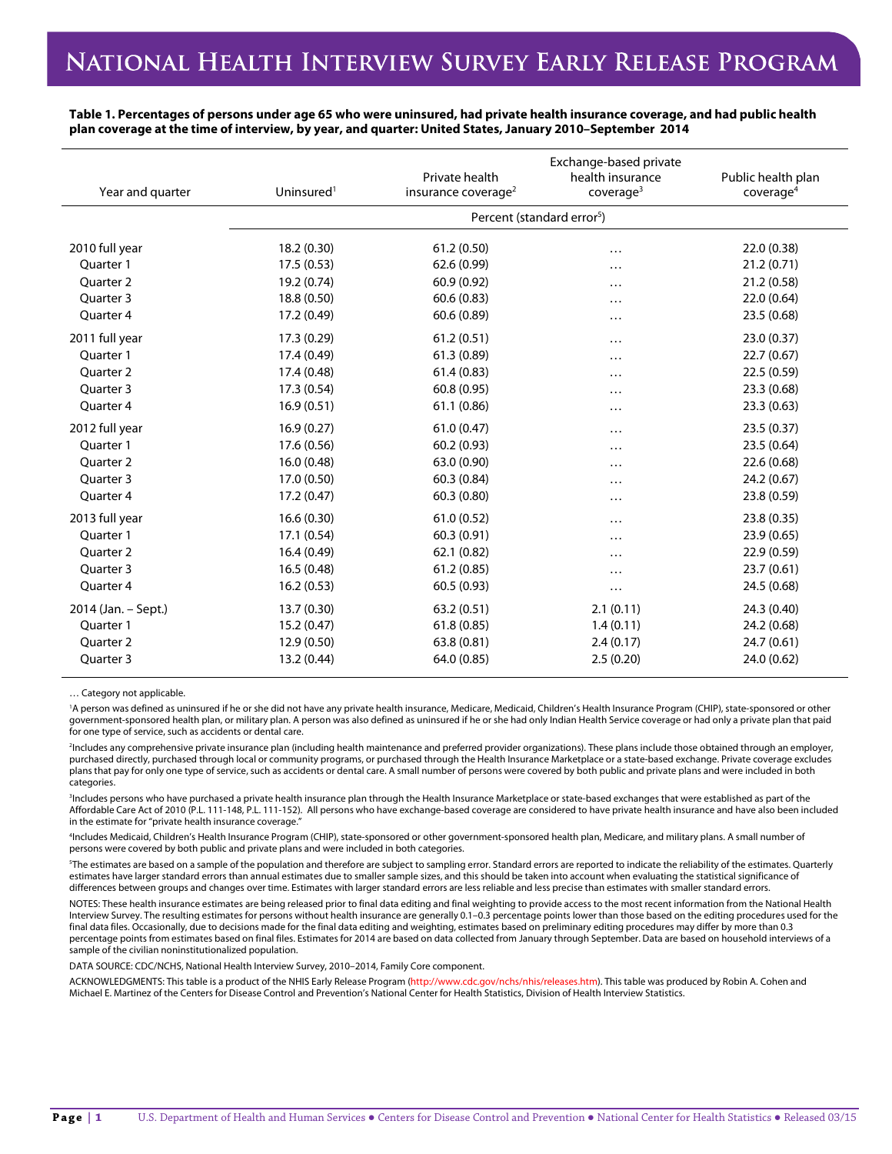**Table 1. Percentages of persons under age 65 who were uninsured, had private health insurance coverage, and had public health plan coverage at the time of interview, by year, and quarter: United States, January 2010–September 2014**

| Year and quarter     | Uninsured <sup>1</sup> | Private health<br>insurance coverage <sup>2</sup> | Exchange-based private<br>health insurance<br>coverage <sup>3</sup> | Public health plan<br>coverage <sup>4</sup> |
|----------------------|------------------------|---------------------------------------------------|---------------------------------------------------------------------|---------------------------------------------|
|                      |                        | Percent (standard error <sup>5</sup> )            |                                                                     |                                             |
| 2010 full year       | 18.2 (0.30)            | 61.2(0.50)                                        | $\cdots$                                                            | 22.0 (0.38)                                 |
| Ouarter 1            | 17.5(0.53)             | 62.6 (0.99)                                       | $\cdots$                                                            | 21.2(0.71)                                  |
| Quarter 2            | 19.2 (0.74)            | 60.9 (0.92)                                       | $\ddots$                                                            | 21.2 (0.58)                                 |
| Quarter 3            | 18.8 (0.50)            | 60.6(0.83)                                        | $\cdots$                                                            | 22.0(0.64)                                  |
| Quarter 4            | 17.2 (0.49)            | 60.6(0.89)                                        | $\cdots$                                                            | 23.5 (0.68)                                 |
| 2011 full year       | 17.3 (0.29)            | 61.2(0.51)                                        | $\cdots$                                                            | 23.0 (0.37)                                 |
| Quarter 1            | 17.4 (0.49)            | 61.3(0.89)                                        |                                                                     | 22.7(0.67)                                  |
| Quarter 2            | 17.4 (0.48)            | 61.4(0.83)                                        | $\cdots$                                                            | 22.5 (0.59)                                 |
| Quarter 3            | 17.3 (0.54)            | 60.8(0.95)                                        | $\cdots$                                                            | 23.3 (0.68)                                 |
| Quarter 4            | 16.9(0.51)             | 61.1(0.86)                                        | $\cdots$                                                            | 23.3(0.63)                                  |
| 2012 full year       | 16.9(0.27)             | 61.0(0.47)                                        | $\cdots$                                                            | 23.5(0.37)                                  |
| Ouarter 1            | 17.6 (0.56)            | 60.2(0.93)                                        | .                                                                   | 23.5 (0.64)                                 |
| <b>Ouarter 2</b>     | 16.0(0.48)             | 63.0 (0.90)                                       | $\cdots$                                                            | 22.6 (0.68)                                 |
| Ouarter <sub>3</sub> | 17.0 (0.50)            | 60.3(0.84)                                        | $\cdots$                                                            | 24.2 (0.67)                                 |
| Quarter 4            | 17.2 (0.47)            | 60.3(0.80)                                        | $\cdots$                                                            | 23.8 (0.59)                                 |
| 2013 full year       | 16.6(0.30)             | 61.0(0.52)                                        | $\ddotsc$                                                           | 23.8 (0.35)                                 |
| Ouarter 1            | 17.1 (0.54)            | 60.3(0.91)                                        | $\cdots$                                                            | 23.9 (0.65)                                 |
| Quarter 2            | 16.4(0.49)             | 62.1 (0.82)                                       | $\cdots$                                                            | 22.9(0.59)                                  |
| Quarter 3            | 16.5(0.48)             | 61.2(0.85)                                        | $\cdots$                                                            | 23.7 (0.61)                                 |
| Quarter 4            | 16.2(0.53)             | 60.5(0.93)                                        | $\cdots$                                                            | 24.5 (0.68)                                 |
| 2014 (Jan. - Sept.)  | 13.7(0.30)             | 63.2(0.51)                                        | 2.1(0.11)                                                           | 24.3 (0.40)                                 |
| Quarter 1            | 15.2(0.47)             | 61.8(0.85)                                        | 1.4(0.11)                                                           | 24.2 (0.68)                                 |
| Quarter 2            | 12.9 (0.50)            | 63.8(0.81)                                        | 2.4(0.17)                                                           | 24.7(0.61)                                  |
| Quarter 3            | 13.2 (0.44)            | 64.0 (0.85)                                       | 2.5(0.20)                                                           | 24.0 (0.62)                                 |

… Category not applicable.

<sup>1</sup>A person was defined as uninsured if he or she did not have any private health insurance, Medicaid, Children's Health Insurance Program (CHIP), state-sponsored or other government-sponsored health plan, or military plan. A person was also defined as uninsured if he or she had only Indian Health Service coverage or had only a private plan that paid for one type of service, such as accidents or dental care.

2 Includes any comprehensive private insurance plan (including health maintenance and preferred provider organizations). These plans include those obtained through an employer, purchased directly, purchased through local or community programs, or purchased through the Health Insurance Marketplace or a state-based exchange. Private coverage excludes plans that pay for only one type of service, such as accidents or dental care. A small number of persons were covered by both public and private plans and were included in both categories.

<sup>3</sup>Includes persons who have purchased a private health insurance plan through the Health Insurance Marketplace or state-based exchanges that were established as part of the Affordable Care Act of 2010 (P.L. 111-148, P.L. 111-152). All persons who have exchange-based coverage are considered to have private health insurance and have also been included in the estimate for "private health insurance coverage."

4 Includes Medicaid, Children's Health Insurance Program (CHIP), state-sponsored or other government-sponsored health plan, Medicare, and military plans. A small number of persons were covered by both public and private plans and were included in both categories.

 $^5$ The estimates are based on a sample of the population and therefore are subject to sampling error. Standard errors are reported to indicate the reliability of the estimates. Quarterly estimates have larger standard errors than annual estimates due to smaller sample sizes, and this should be taken into account when evaluating the statistical significance of differences between groups and changes over time. Estimates with larger standard errors are less reliable and less precise than estimates with smaller standard errors.

NOTES: These health insurance estimates are being released prior to final data editing and final weighting to provide access to the most recent information from the National Health Interview Survey. The resulting estimates for persons without health insurance are generally 0.1–0.3 percentage points lower than those based on the editing procedures used for the final data files. Occasionally, due to decisions made for the final data editing and weighting, estimates based on preliminary editing procedures may differ by more than 0.3 percentage points from estimates based on final files. Estimates for 2014 are based on data collected from January through September. Data are based on household interviews of a sample of the civilian noninstitutionalized population.

DATA SOURCE: CDC/NCHS, National Health Interview Survey, 2010–2014, Family Core component.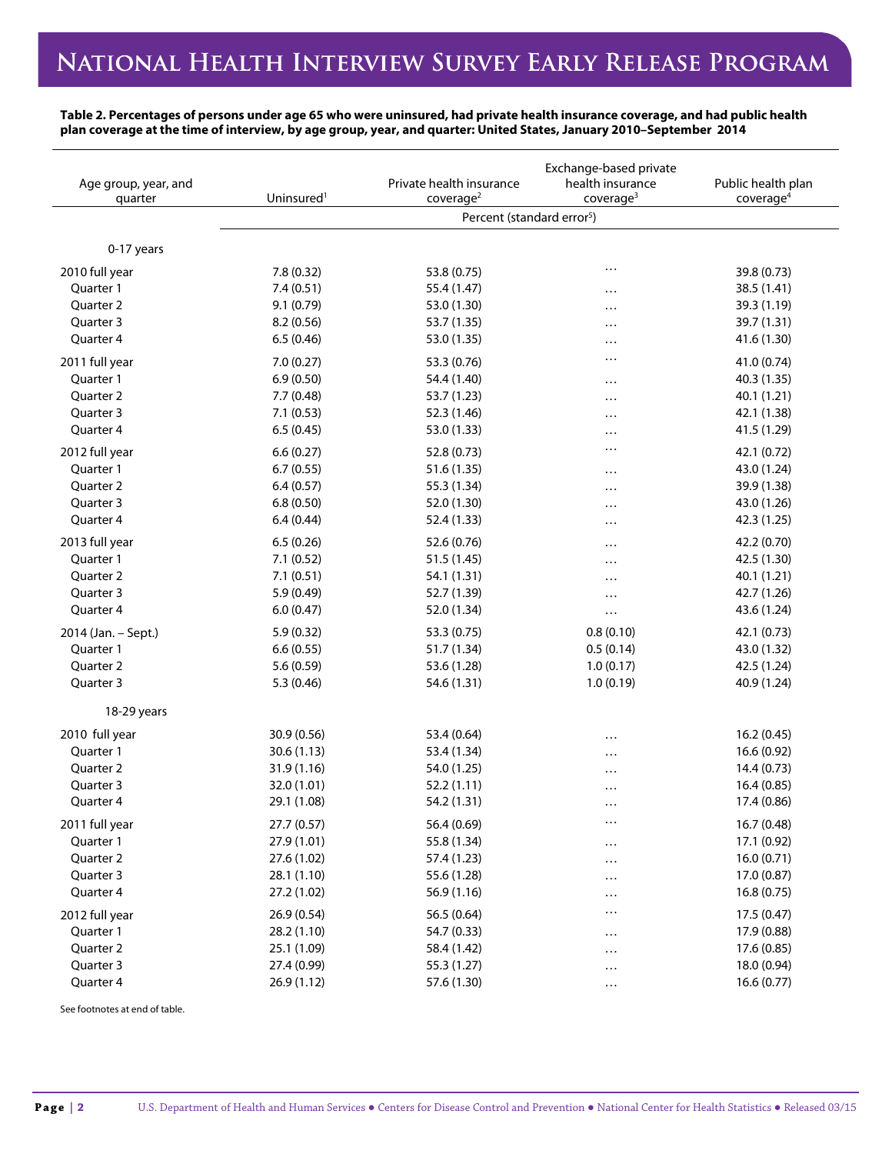**Table 2. Percentages of persons under age 65 who were uninsured, had private health insurance coverage, and had public health plan coverage at the time of interview, by age group, year, and quarter: United States, January 2010–September 2014**

|                      | Exchange-based private |                                                                 |                       |                       |  |
|----------------------|------------------------|-----------------------------------------------------------------|-----------------------|-----------------------|--|
| Age group, year, and | Uninsured <sup>1</sup> | Private health insurance                                        | health insurance      | Public health plan    |  |
| quarter              |                        | coverage <sup>2</sup><br>Percent (standard error <sup>5</sup> ) | coverage <sup>3</sup> | coverage <sup>4</sup> |  |
|                      |                        |                                                                 |                       |                       |  |
| 0-17 years           |                        |                                                                 |                       |                       |  |
| 2010 full year       | 7.8(0.32)              | 53.8 (0.75)                                                     | .                     | 39.8 (0.73)           |  |
| Quarter 1            | 7.4(0.51)              | 55.4 (1.47)                                                     | .                     | 38.5 (1.41)           |  |
| Quarter 2            | 9.1 (0.79)             | 53.0 (1.30)                                                     |                       | 39.3 (1.19)           |  |
| Quarter 3            | 8.2(0.56)              | 53.7 (1.35)                                                     |                       | 39.7 (1.31)           |  |
| Quarter 4            | 6.5(0.46)              | 53.0 (1.35)                                                     | .                     | 41.6 (1.30)           |  |
| 2011 full year       | 7.0(0.27)              | 53.3 (0.76)                                                     | .                     | 41.0 (0.74)           |  |
| Quarter 1            | 6.9(0.50)              | 54.4 (1.40)                                                     | .                     | 40.3 (1.35)           |  |
| Quarter 2            | 7.7 (0.48)             | 53.7 (1.23)                                                     | .                     | 40.1 (1.21)           |  |
| Quarter 3            | 7.1(0.53)              | 52.3 (1.46)                                                     | .                     | 42.1 (1.38)           |  |
| Quarter 4            | 6.5(0.45)              | 53.0 (1.33)                                                     | .                     | 41.5 (1.29)           |  |
| 2012 full year       | 6.6(0.27)              | 52.8 (0.73)                                                     | .                     | 42.1 (0.72)           |  |
| Quarter 1            | 6.7(0.55)              | 51.6 (1.35)                                                     | .                     | 43.0 (1.24)           |  |
| Quarter 2            | 6.4(0.57)              | 55.3 (1.34)                                                     | .                     | 39.9 (1.38)           |  |
| Quarter 3            | 6.8(0.50)              | 52.0 (1.30)                                                     |                       | 43.0 (1.26)           |  |
| Quarter 4            | 6.4(0.44)              | 52.4 (1.33)                                                     | .                     | 42.3 (1.25)           |  |
| 2013 full year       | 6.5(0.26)              | 52.6 (0.76)                                                     | .                     | 42.2 (0.70)           |  |
| Quarter 1            | 7.1(0.52)              | 51.5(1.45)                                                      | .                     | 42.5 (1.30)           |  |
| Quarter 2            | 7.1(0.51)              | 54.1 (1.31)                                                     | .                     | 40.1 (1.21)           |  |
| Quarter 3            | 5.9(0.49)              | 52.7 (1.39)                                                     | .                     | 42.7 (1.26)           |  |
| Quarter 4            | 6.0(0.47)              | 52.0 (1.34)                                                     | $\cdots$              | 43.6 (1.24)           |  |
| 2014 (Jan. - Sept.)  | 5.9(0.32)              | 53.3 (0.75)                                                     | 0.8(0.10)             | 42.1 (0.73)           |  |
| Quarter 1            | 6.6(0.55)              | 51.7 (1.34)                                                     | 0.5(0.14)             | 43.0 (1.32)           |  |
| Quarter 2            | 5.6(0.59)              | 53.6 (1.28)                                                     | 1.0(0.17)             | 42.5 (1.24)           |  |
| Quarter 3            | 5.3(0.46)              | 54.6 (1.31)                                                     | 1.0(0.19)             | 40.9 (1.24)           |  |
| 18-29 years          |                        |                                                                 |                       |                       |  |
| 2010 full year       | 30.9 (0.56)            | 53.4 (0.64)                                                     |                       | 16.2 (0.45)           |  |
| Quarter 1            | 30.6(1.13)             | 53.4 (1.34)                                                     | .                     | 16.6 (0.92)           |  |
| Quarter 2            | 31.9(1.16)             | 54.0 (1.25)                                                     | .                     | 14.4 (0.73)           |  |
| Quarter 3            | 32.0 (1.01)            | 52.2(1.11)                                                      | .                     | 16.4(0.85)            |  |
| Quarter 4            | 29.1 (1.08)            | 54.2 (1.31)                                                     | .                     | 17.4 (0.86)           |  |
|                      |                        |                                                                 | $\cdots$              |                       |  |
| 2011 full year       | 27.7(0.57)             | 56.4 (0.69)                                                     |                       | 16.7 (0.48)           |  |
| Quarter 1            | 27.9 (1.01)            | 55.8 (1.34)                                                     | $\cdots$              | 17.1 (0.92)           |  |
| Quarter 2            | 27.6 (1.02)            | 57.4 (1.23)                                                     | .                     | 16.0(0.71)            |  |
| Quarter 3            | 28.1 (1.10)            | 55.6 (1.28)                                                     | $\cdots$              | 17.0 (0.87)           |  |
| Quarter 4            | 27.2 (1.02)            | 56.9 (1.16)                                                     | $\cdots$              | 16.8(0.75)            |  |
| 2012 full year       | 26.9(0.54)             | 56.5 (0.64)                                                     | $\ddotsc$             | 17.5 (0.47)           |  |
| Quarter 1            | 28.2 (1.10)            | 54.7 (0.33)                                                     | .                     | 17.9 (0.88)           |  |
| Quarter 2            | 25.1 (1.09)            | 58.4 (1.42)                                                     | .                     | 17.6 (0.85)           |  |
| Quarter 3            | 27.4 (0.99)            | 55.3 (1.27)                                                     | $\cdots$              | 18.0 (0.94)           |  |
| Quarter 4            | 26.9(1.12)             | 57.6 (1.30)                                                     | $\ldots$              | 16.6(0.77)            |  |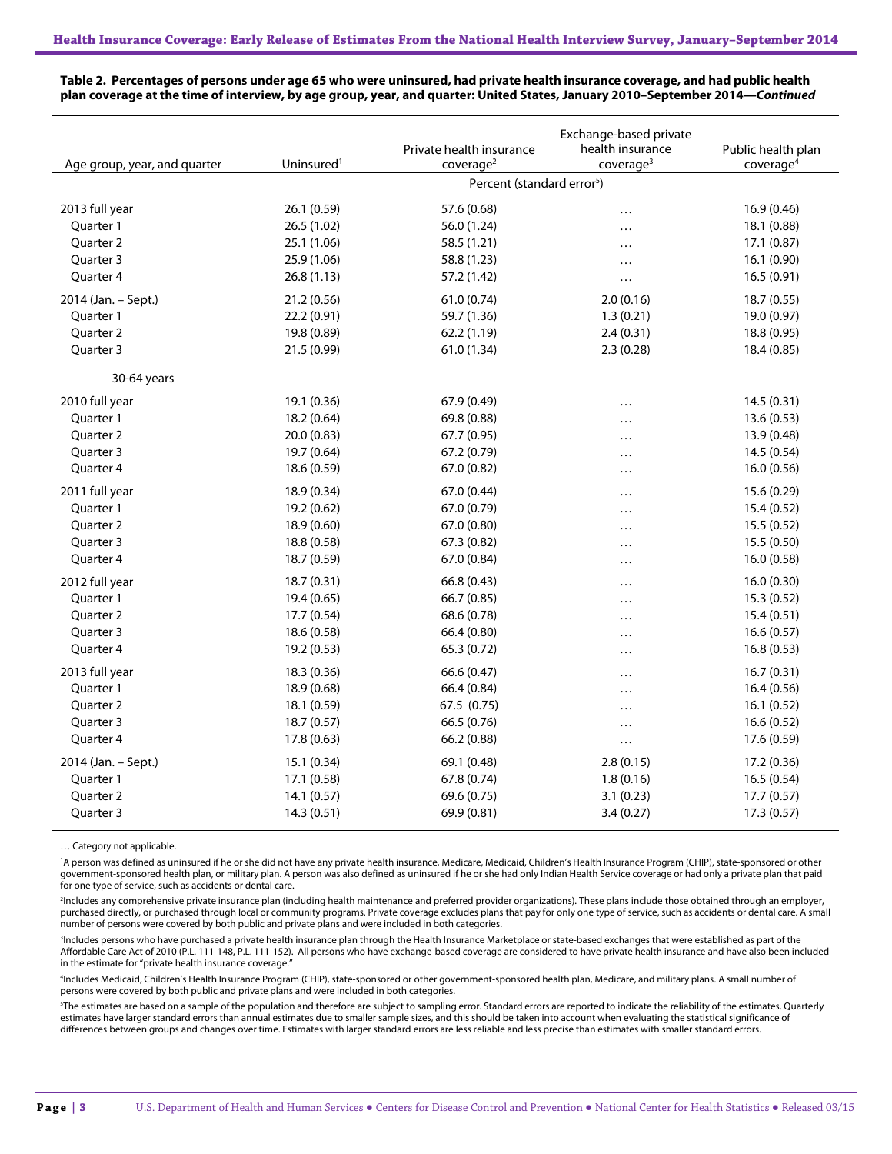| Age group, year, and quarter | Uninsured <sup>1</sup> | Private health insurance<br>coverage <sup>2</sup> | Exchange-based private<br>health insurance<br>coverage <sup>3</sup> | Public health plan<br>coverage <sup>4</sup> |
|------------------------------|------------------------|---------------------------------------------------|---------------------------------------------------------------------|---------------------------------------------|
|                              |                        | Percent (standard error <sup>5</sup> )            |                                                                     |                                             |
| 2013 full year               | 26.1 (0.59)            | 57.6 (0.68)                                       | $\cdots$                                                            | 16.9 (0.46)                                 |
| Quarter 1                    | 26.5 (1.02)            | 56.0 (1.24)                                       | .                                                                   | 18.1 (0.88)                                 |
| Quarter 2                    | 25.1 (1.06)            | 58.5 (1.21)                                       | .                                                                   | 17.1 (0.87)                                 |
| Quarter 3                    | 25.9 (1.06)            | 58.8 (1.23)                                       | .                                                                   | 16.1(0.90)                                  |
| Quarter 4                    | 26.8(1.13)             | 57.2 (1.42)                                       | $\cdots$                                                            | 16.5 (0.91)                                 |
| 2014 (Jan. - Sept.)          | 21.2 (0.56)            | 61.0 (0.74)                                       | 2.0(0.16)                                                           | 18.7 (0.55)                                 |
| Quarter 1                    | 22.2 (0.91)            | 59.7 (1.36)                                       | 1.3(0.21)                                                           | 19.0 (0.97)                                 |
| Quarter 2                    | 19.8 (0.89)            | 62.2 (1.19)                                       | 2.4(0.31)                                                           | 18.8 (0.95)                                 |
| Quarter 3                    | 21.5 (0.99)            | 61.0 (1.34)                                       | 2.3(0.28)                                                           | 18.4 (0.85)                                 |
| 30-64 years                  |                        |                                                   |                                                                     |                                             |
| 2010 full year               | 19.1 (0.36)            | 67.9 (0.49)                                       | .                                                                   | 14.5(0.31)                                  |
| Quarter 1                    | 18.2 (0.64)            | 69.8 (0.88)                                       | $\cdots$                                                            | 13.6 (0.53)                                 |
| Quarter 2                    | 20.0(0.83)             | 67.7 (0.95)                                       | .                                                                   | 13.9 (0.48)                                 |
| Quarter 3                    | 19.7 (0.64)            | 67.2 (0.79)                                       | .                                                                   | 14.5 (0.54)                                 |
| Quarter 4                    | 18.6 (0.59)            | 67.0 (0.82)                                       | $\cdots$                                                            | 16.0 (0.56)                                 |
| 2011 full year               | 18.9 (0.34)            | 67.0 (0.44)                                       | $\cdots$                                                            | 15.6 (0.29)                                 |
| Quarter 1                    | 19.2 (0.62)            | 67.0 (0.79)                                       | .                                                                   | 15.4 (0.52)                                 |
| Quarter 2                    | 18.9 (0.60)            | 67.0 (0.80)                                       | .                                                                   | 15.5(0.52)                                  |
| Quarter 3                    | 18.8 (0.58)            | 67.3 (0.82)                                       | .                                                                   | 15.5 (0.50)                                 |
| Quarter 4                    | 18.7 (0.59)            | 67.0 (0.84)                                       | .                                                                   | 16.0 (0.58)                                 |
| 2012 full year               | 18.7(0.31)             | 66.8 (0.43)                                       | .                                                                   | 16.0(0.30)                                  |
| Quarter 1                    | 19.4 (0.65)            | 66.7 (0.85)                                       |                                                                     | 15.3 (0.52)                                 |
| Quarter 2                    | 17.7 (0.54)            | 68.6 (0.78)                                       | .                                                                   | 15.4(0.51)                                  |
| Quarter 3                    | 18.6 (0.58)            | 66.4 (0.80)                                       | .                                                                   | 16.6(0.57)                                  |
| Quarter 4                    | 19.2 (0.53)            | 65.3 (0.72)                                       | .                                                                   | 16.8(0.53)                                  |
| 2013 full year               | 18.3 (0.36)            | 66.6 (0.47)                                       | .                                                                   | 16.7(0.31)                                  |
| Ouarter 1                    | 18.9 (0.68)            | 66.4 (0.84)                                       | .                                                                   | 16.4(0.56)                                  |
| Quarter 2                    | 18.1 (0.59)            | 67.5 (0.75)                                       |                                                                     | 16.1(0.52)                                  |
| Quarter 3                    | 18.7 (0.57)            | 66.5 (0.76)                                       | .                                                                   | 16.6 (0.52)                                 |
| Quarter 4                    | 17.8 (0.63)            | 66.2 (0.88)                                       | $\cdots$                                                            | 17.6 (0.59)                                 |
| 2014 (Jan. - Sept.)          | 15.1 (0.34)            | 69.1 (0.48)                                       | 2.8(0.15)                                                           | 17.2 (0.36)                                 |
| Quarter 1                    | 17.1 (0.58)            | 67.8 (0.74)                                       | 1.8(0.16)                                                           | 16.5(0.54)                                  |
| Ouarter <sub>2</sub>         | 14.1(0.57)             | 69.6 (0.75)                                       | 3.1(0.23)                                                           | 17.7(0.57)                                  |
| Quarter 3                    | 14.3(0.51)             | 69.9 (0.81)                                       | 3.4(0.27)                                                           | 17.3 (0.57)                                 |

**Table 2. Percentages of persons under age 65 who were uninsured, had private health insurance coverage, and had public health plan coverage at the time of interview, by age group, year, and quarter: United States, January 2010–September 2014—***Continued*

… Category not applicable.

'A person was defined as uninsured if he or she did not have any private health insurance, Medicare, Medicaid, Children's Health Insurance Program (CHIP), state-sponsored or other government-sponsored health plan, or military plan. A person was also defined as uninsured if he or she had only Indian Health Service coverage or had only a private plan that paid<br>for one type of service, such as accident

2 Includes any comprehensive private insurance plan (including health maintenance and preferred provider organizations). These plans include those obtained through an employer, purchased directly, or purchased through local or community programs. Private coverage excludes plans that pay for only one type of service, such as accidents or dental care. A small number of persons were covered by both public and private plans and were included in both categories.

<sup>3</sup>Includes persons who have purchased a private health insurance plan through the Health Insurance Marketplace or state-based exchanges that were established as part of the<br>Affordable Care Act of 2010 (P.L. 111-148, P.L. in the estimate for "private health insurance coverage.

4 Includes Medicaid, Children's Health Insurance Program (CHIP), state-sponsored or other government-sponsored health plan, Medicare, and military plans. A small number of persons were covered by both public and private plans and were included in both categories.

5 The estimates are based on a sample of the population and therefore are subject to sampling error. Standard errors are reported to indicate the reliability of the estimates. Quarterly estimates have larger standard errors than annual estimates due to smaller sample sizes, and this should be taken into account when evaluating the statistical significance of differences between groups and changes over time. Estimates with larger standard errors are less reliable and less precise than estimates with smaller standard errors.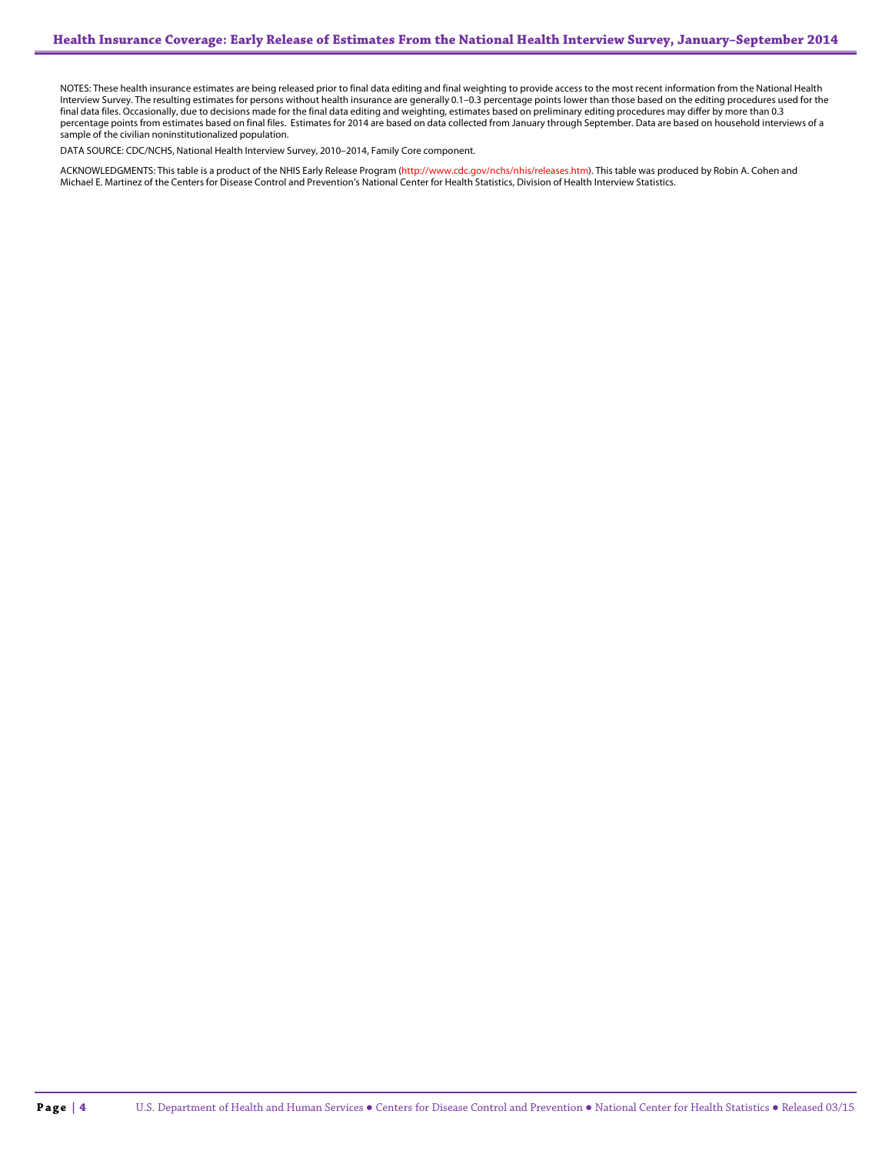NOTES: These health insurance estimates are being released prior to final data editing and final weighting to provide access to the most recent information from the National Health Interview Survey. The resulting estimates for persons without health insurance are generally 0.1–0.3 percentage points lower than those based on the editing procedures used for the final data files. Occasionally, due to decisions made for the final data editing and weighting, estimates based on preliminary editing procedures may differ by more than 0.3 percentage points from estimates based on final files. Estimates for 2014 are based on data collected from January through September. Data are based on household interviews of a sample of the civilian noninstitutionalized population.

DATA SOURCE: CDC/NCHS, National Health Interview Survey, 2010–2014, Family Core component.

ACKNOWLEDGMENTS: This table is a product of the NHIS Early Release Program (<mark>http://www.cdc.gov/nchs/nhis/releases.htm</mark>). This table was produced by Robin A. Cohen and<br>Michael E. Martinez of the Centers for Disease Control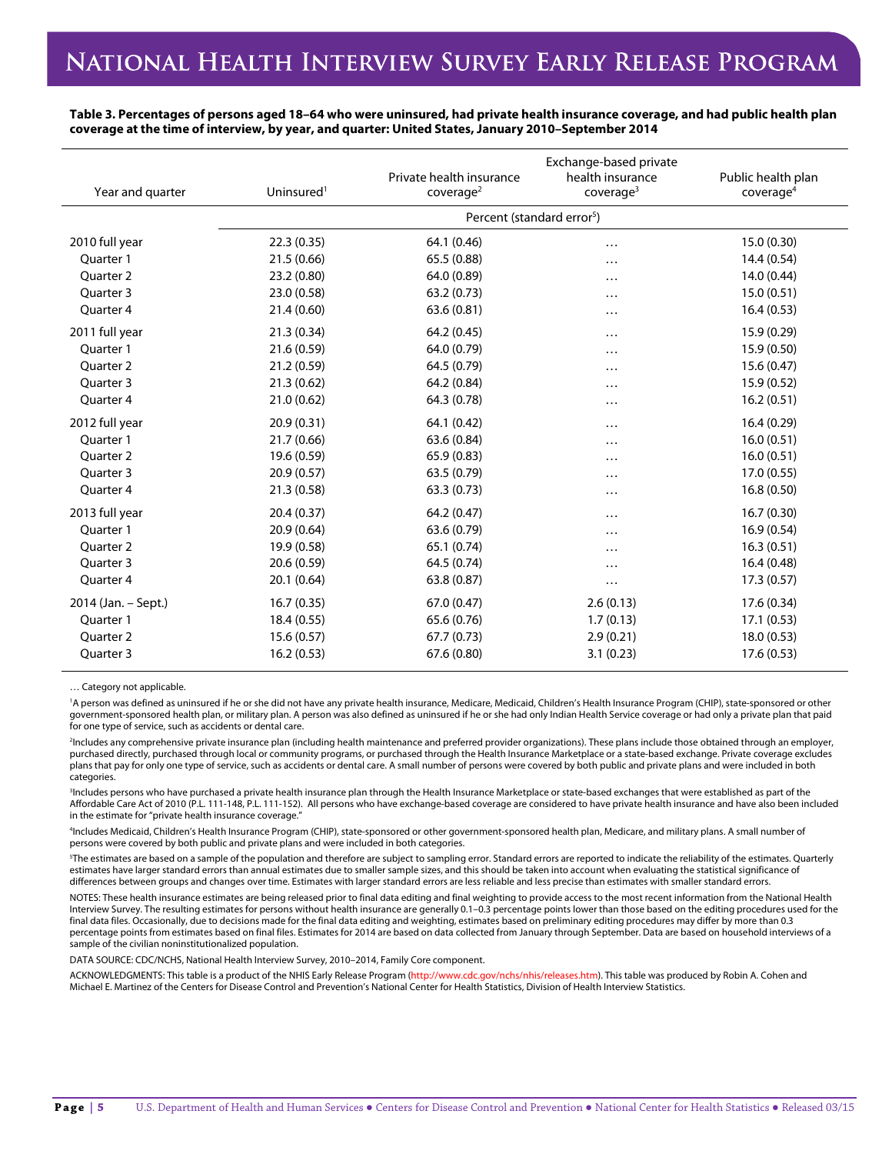**Table 3. Percentages of persons aged 18–64 who were uninsured, had private health insurance coverage, and had public health plan coverage at the time of interview, by year, and quarter: United States, January 2010–September 2014**

| Year and quarter     | Uninsured <sup>1</sup> | Private health insurance<br>coverage <sup>2</sup> | Exchange-based private<br>health insurance<br>coverage <sup>3</sup> | Public health plan<br>coverage <sup>4</sup> |
|----------------------|------------------------|---------------------------------------------------|---------------------------------------------------------------------|---------------------------------------------|
|                      |                        | Percent (standard error <sup>5</sup> )            |                                                                     |                                             |
| 2010 full year       | 22.3(0.35)             | 64.1 (0.46)                                       | .                                                                   | 15.0 (0.30)                                 |
| Ouarter 1            | 21.5(0.66)             | 65.5 (0.88)                                       | .                                                                   | 14.4(0.54)                                  |
| <b>Ouarter 2</b>     | 23.2 (0.80)            | 64.0 (0.89)                                       | $\cdots$                                                            | 14.0 (0.44)                                 |
| Ouarter <sub>3</sub> | 23.0 (0.58)            | 63.2(0.73)                                        | .                                                                   | 15.0(0.51)                                  |
| Quarter 4            | 21.4(0.60)             | 63.6(0.81)                                        | .                                                                   | 16.4(0.53)                                  |
| 2011 full year       | 21.3(0.34)             | 64.2 (0.45)                                       | $\cdots$                                                            | 15.9 (0.29)                                 |
| Ouarter 1            | 21.6(0.59)             | 64.0 (0.79)                                       | .                                                                   | 15.9 (0.50)                                 |
| <b>Ouarter 2</b>     | 21.2(0.59)             | 64.5 (0.79)                                       | .                                                                   | 15.6 (0.47)                                 |
| Ouarter <sub>3</sub> | 21.3(0.62)             | 64.2 (0.84)                                       | .                                                                   | 15.9 (0.52)                                 |
| Quarter 4            | 21.0(0.62)             | 64.3 (0.78)                                       | $\cdots$                                                            | 16.2(0.51)                                  |
| 2012 full year       | 20.9(0.31)             | 64.1 (0.42)                                       | $\cdots$                                                            | 16.4(0.29)                                  |
| Ouarter 1            | 21.7(0.66)             | 63.6 (0.84)                                       | .                                                                   | 16.0(0.51)                                  |
| Ouarter <sub>2</sub> | 19.6 (0.59)            | 65.9 (0.83)                                       | .                                                                   | 16.0(0.51)                                  |
| Quarter 3            | 20.9(0.57)             | 63.5 (0.79)                                       | .                                                                   | 17.0(0.55)                                  |
| Quarter 4            | 21.3(0.58)             | 63.3(0.73)                                        | $\cdots$                                                            | 16.8(0.50)                                  |
| 2013 full year       | 20.4(0.37)             | 64.2 (0.47)                                       | $\cdots$                                                            | 16.7(0.30)                                  |
| Ouarter 1            | 20.9(0.64)             | 63.6 (0.79)                                       | .                                                                   | 16.9(0.54)                                  |
| <b>Ouarter 2</b>     | 19.9 (0.58)            | 65.1 (0.74)                                       | .                                                                   | 16.3(0.51)                                  |
| Quarter 3            | 20.6(0.59)             | 64.5 (0.74)                                       | .                                                                   | 16.4(0.48)                                  |
| Quarter 4            | 20.1(0.64)             | 63.8 (0.87)                                       |                                                                     | 17.3(0.57)                                  |
| 2014 (Jan. - Sept.)  | 16.7(0.35)             | 67.0 (0.47)                                       | 2.6(0.13)                                                           | 17.6 (0.34)                                 |
| Ouarter 1            | 18.4 (0.55)            | 65.6 (0.76)                                       | 1.7(0.13)                                                           | 17.1(0.53)                                  |
| Quarter 2            | 15.6(0.57)             | 67.7(0.73)                                        | 2.9(0.21)                                                           | 18.0 (0.53)                                 |
| Quarter 3            | 16.2(0.53)             | 67.6 (0.80)                                       | 3.1(0.23)                                                           | 17.6(0.53)                                  |

… Category not applicable.

<sup>1</sup>A person was defined as uninsured if he or she did not have any private health insurance, Medicare, Medicaid, Children's Health Insurance Program (CHIP), state-sponsored or other government-sponsored health plan, or military plan. A person was also defined as uninsured if he or she had only Indian Health Service coverage or had only a private plan that paid for one type of service, such as accidents or dental care.

2 Includes any comprehensive private insurance plan (including health maintenance and preferred provider organizations). These plans include those obtained through an employer, purchased directly, purchased through local or community programs, or purchased through the Health Insurance Marketplace or a state-based exchange. Private coverage excludes plans that pay for only one type of service, such as accidents or dental care. A small number of persons were covered by both public and private plans and were included in both categories.

3 Includes persons who have purchased a private health insurance plan through the Health Insurance Marketplace or state-based exchanges that were established as part of the Affordable Care Act of 2010 (P.L. 111-148, P.L. 111-152). All persons who have exchange-based coverage are considered to have private health insurance and have also been included in the estimate for "private health insurance coverage."

4 Includes Medicaid, Children's Health Insurance Program (CHIP), state-sponsored or other government-sponsored health plan, Medicare, and military plans. A small number of persons were covered by both public and private plans and were included in both categories.

5 The estimates are based on a sample of the population and therefore are subject to sampling error. Standard errors are reported to indicate the reliability of the estimates. Quarterly estimates have larger standard errors than annual estimates due to smaller sample sizes, and this should be taken into account when evaluating the statistical significance of differences between groups and changes over time. Estimates with larger standard errors are less reliable and less precise than estimates with smaller standard errors.

NOTES: These health insurance estimates are being released prior to final data editing and final weighting to provide access to the most recent information from the National Health Interview Survey. The resulting estimates for persons without health insurance are generally 0.1–0.3 percentage points lower than those based on the editing procedures used for the final data files. Occasionally, due to decisions made for the final data editing and weighting, estimates based on preliminary editing procedures may differ by more than 0.3 percentage points from estimates based on final files. Estimates for 2014 are based on data collected from January through September. Data are based on household interviews of a sample of the civilian noninstitutionalized population.

DATA SOURCE: CDC/NCHS, National Health Interview Survey, 2010–2014, Family Core component.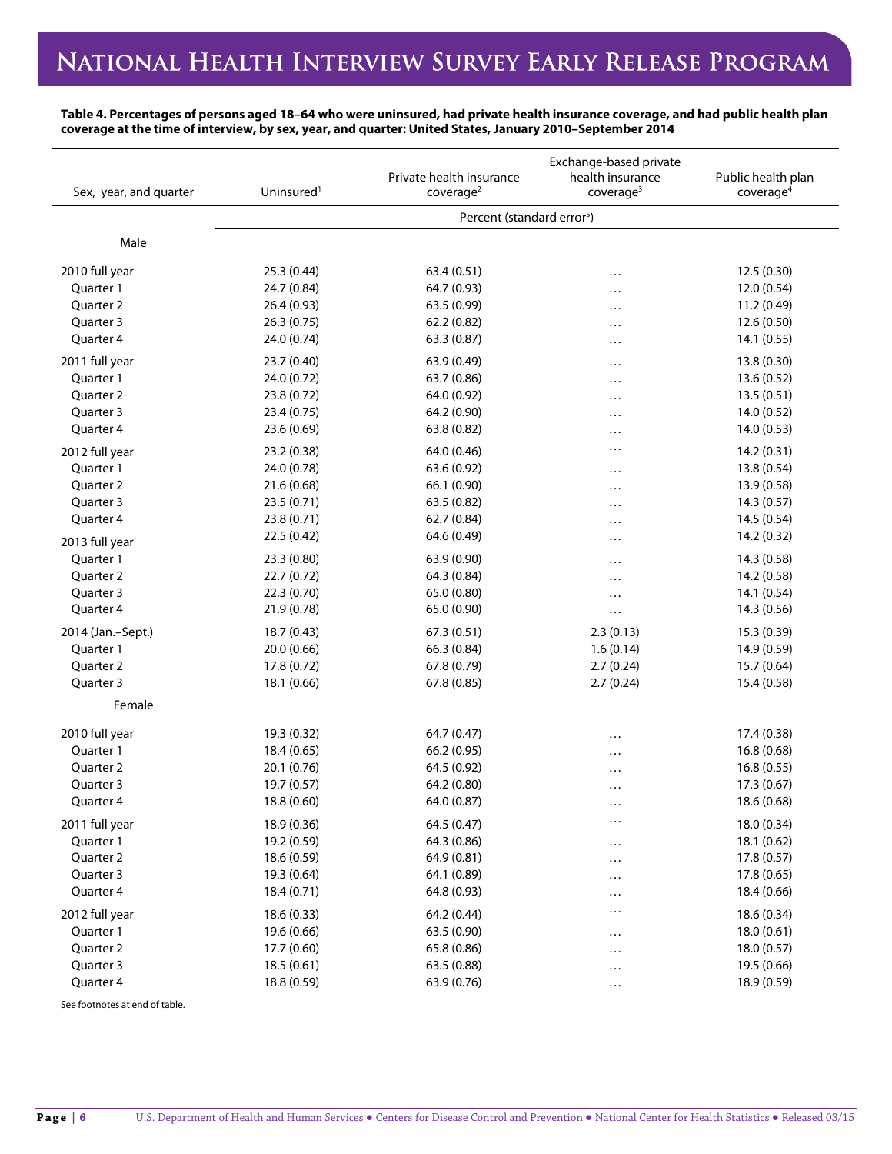**Table 4. Percentages of persons aged 18–64 who were uninsured, had private health insurance coverage, and had public health plan coverage at the time of interview, by sex, year, and quarter: United States, January 2010–September 2014**

| Sex, year, and quarter | Uninsured <sup>1</sup>                 | Private health insurance<br>coverage <sup>2</sup> | Exchange-based private<br>health insurance<br>coverage <sup>3</sup> | Public health plan<br>coverage <sup>4</sup> |  |
|------------------------|----------------------------------------|---------------------------------------------------|---------------------------------------------------------------------|---------------------------------------------|--|
|                        | Percent (standard error <sup>5</sup> ) |                                                   |                                                                     |                                             |  |
|                        |                                        |                                                   |                                                                     |                                             |  |
| Male                   |                                        |                                                   |                                                                     |                                             |  |
| 2010 full year         | 25.3 (0.44)                            | 63.4 (0.51)                                       | .                                                                   | 12.5 (0.30)                                 |  |
| Quarter 1              | 24.7 (0.84)                            | 64.7 (0.93)                                       | $\cdots$                                                            | 12.0 (0.54)                                 |  |
| Quarter 2              | 26.4 (0.93)                            | 63.5 (0.99)                                       |                                                                     | 11.2 (0.49)                                 |  |
| Quarter 3              | 26.3(0.75)                             | 62.2 (0.82)                                       | $\cdots$                                                            | 12.6 (0.50)                                 |  |
| Quarter 4              | 24.0 (0.74)                            | 63.3 (0.87)                                       |                                                                     | 14.1(0.55)                                  |  |
| 2011 full year         | 23.7 (0.40)                            | 63.9 (0.49)                                       | $\cdots$                                                            | 13.8 (0.30)                                 |  |
| Quarter 1              | 24.0 (0.72)                            | 63.7 (0.86)                                       |                                                                     | 13.6 (0.52)                                 |  |
| Quarter 2              | 23.8 (0.72)                            | 64.0 (0.92)                                       |                                                                     | 13.5(0.51)                                  |  |
| Quarter 3              | 23.4 (0.75)                            | 64.2 (0.90)                                       |                                                                     | 14.0 (0.52)                                 |  |
| Quarter 4              | 23.6 (0.69)                            | 63.8 (0.82)                                       | $\cdots$                                                            | 14.0 (0.53)                                 |  |
| 2012 full year         | 23.2 (0.38)                            | 64.0 (0.46)                                       | $\cdots$                                                            | 14.2 (0.31)                                 |  |
| Quarter 1              | 24.0 (0.78)                            | 63.6 (0.92)                                       | $\cdots$                                                            | 13.8 (0.54)                                 |  |
| <b>Ouarter 2</b>       | 21.6 (0.68)                            | 66.1 (0.90)                                       | $\cdots$                                                            | 13.9 (0.58)                                 |  |
| Quarter 3              | 23.5 (0.71)                            | 63.5 (0.82)                                       | $\cdots$                                                            | 14.3 (0.57)                                 |  |
| Quarter 4              | 23.8 (0.71)                            | 62.7 (0.84)                                       | $\cdots$                                                            | 14.5 (0.54)                                 |  |
| 2013 full year         | 22.5 (0.42)                            | 64.6 (0.49)                                       | $\cdots$                                                            | 14.2 (0.32)                                 |  |
| Quarter 1              | 23.3 (0.80)                            | 63.9 (0.90)                                       |                                                                     | 14.3 (0.58)                                 |  |
| Quarter 2              | 22.7 (0.72)                            | 64.3 (0.84)                                       |                                                                     | 14.2 (0.58)                                 |  |
| Quarter 3              | 22.3 (0.70)                            | 65.0 (0.80)                                       | .                                                                   | 14.1 (0.54)                                 |  |
| Quarter 4              | 21.9 (0.78)                            | 65.0 (0.90)                                       |                                                                     | 14.3 (0.56)                                 |  |
|                        |                                        |                                                   | $\cdots$                                                            |                                             |  |
| 2014 (Jan.-Sept.)      | 18.7 (0.43)                            | 67.3(0.51)                                        | 2.3(0.13)                                                           | 15.3 (0.39)                                 |  |
| Quarter 1              | 20.0 (0.66)                            | 66.3 (0.84)                                       | 1.6(0.14)                                                           | 14.9 (0.59)                                 |  |
| Quarter 2              | 17.8 (0.72)                            | 67.8 (0.79)                                       | 2.7(0.24)                                                           | 15.7 (0.64)                                 |  |
| Quarter 3              | 18.1 (0.66)                            | 67.8 (0.85)                                       | 2.7(0.24)                                                           | 15.4 (0.58)                                 |  |
| Female                 |                                        |                                                   |                                                                     |                                             |  |
| 2010 full year         | 19.3 (0.32)                            | 64.7 (0.47)                                       |                                                                     | 17.4 (0.38)                                 |  |
| Quarter 1              | 18.4 (0.65)                            | 66.2 (0.95)                                       | .                                                                   | 16.8 (0.68)                                 |  |
| Quarter 2              | 20.1 (0.76)                            | 64.5 (0.92)                                       | .                                                                   | 16.8(0.55)                                  |  |
| Quarter 3              | 19.7 (0.57)                            | 64.2 (0.80)                                       |                                                                     | 17.3(0.67)                                  |  |
| Quarter 4              | 18.8 (0.60)                            | 64.0 (0.87)                                       | $\cdots$                                                            | 18.6 (0.68)                                 |  |
| 2011 full year         | 18.9 (0.36)                            | 64.5 (0.47)                                       | $\cdots$                                                            | 18.0 (0.34)                                 |  |
| Quarter 1              | 19.2 (0.59)                            | 64.3 (0.86)                                       |                                                                     | 18.1 (0.62)                                 |  |
| Quarter 2              | 18.6 (0.59)                            | 64.9 (0.81)                                       | $\cdots$                                                            | 17.8 (0.57)                                 |  |
| Quarter 3              | 19.3 (0.64)                            | 64.1 (0.89)                                       | $\cdots$                                                            | 17.8 (0.65)                                 |  |
| Quarter 4              | 18.4 (0.71)                            | 64.8 (0.93)                                       | $\cdots$<br>.                                                       | 18.4 (0.66)                                 |  |
| 2012 full year         | 18.6 (0.33)                            | 64.2 (0.44)                                       | $\cdots$                                                            | 18.6 (0.34)                                 |  |
| Quarter 1              | 19.6 (0.66)                            | 63.5 (0.90)                                       |                                                                     | 18.0(0.61)                                  |  |
| Quarter 2              | 17.7 (0.60)                            | 65.8 (0.86)                                       | $\cdots$                                                            | 18.0 (0.57)                                 |  |
| Quarter 3              | 18.5(0.61)                             |                                                   | $\cdots$                                                            | 19.5 (0.66)                                 |  |
|                        |                                        | 63.5 (0.88)                                       | $\cdots$                                                            |                                             |  |
| Quarter 4              | 18.8 (0.59)                            | 63.9 (0.76)                                       | $\cdots$                                                            | 18.9 (0.59)                                 |  |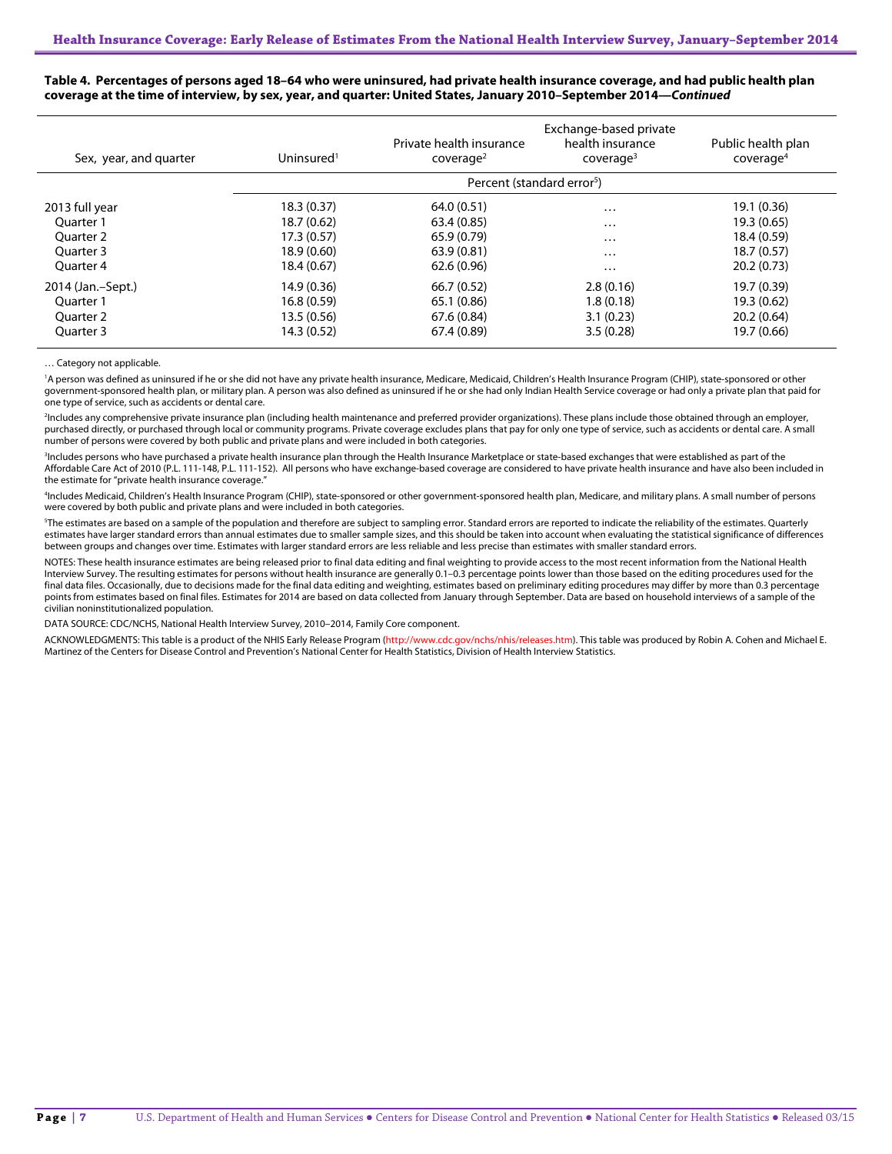| Sex, year, and quarter | Uninsured <sup>1</sup> | Private health insurance<br>cover aq <sup>2</sup> | Exchange-based private<br>health insurance<br>cover aq <sup>3</sup> | Public health plan<br>coverage <sup>4</sup> |
|------------------------|------------------------|---------------------------------------------------|---------------------------------------------------------------------|---------------------------------------------|
|                        |                        |                                                   | Percent (standard error <sup>5</sup> )                              |                                             |
| 2013 full year         | 18.3(0.37)             | 64.0 (0.51)                                       | $\cdots$                                                            | 19.1 (0.36)                                 |
| Ouarter 1              | 18.7 (0.62)            | 63.4(0.85)                                        | $\cdots$                                                            | 19.3 (0.65)                                 |
| Ouarter 2              | 17.3(0.57)             | 65.9 (0.79)                                       | $\cdots$                                                            | 18.4 (0.59)                                 |
| Ouarter 3              | 18.9 (0.60)            | 63.9(0.81)                                        | $\cdots$                                                            | 18.7(0.57)                                  |
| Ouarter 4              | 18.4 (0.67)            | 62.6(0.96)                                        | $\cdots$                                                            | 20.2(0.73)                                  |
| 2014 (Jan.-Sept.)      | 14.9 (0.36)            | 66.7(0.52)                                        | 2.8(0.16)                                                           | 19.7 (0.39)                                 |
| Ouarter 1              | 16.8(0.59)             | 65.1 (0.86)                                       | 1.8(0.18)                                                           | 19.3 (0.62)                                 |
| Ouarter 2              | 13.5 (0.56)            | 67.6(0.84)                                        | 3.1(0.23)                                                           | 20.2(0.64)                                  |
| Ouarter 3              | 14.3 (0.52)            | 67.4 (0.89)                                       | 3.5(0.28)                                                           | 19.7 (0.66)                                 |

**Table 4. Percentages of persons aged 18–64 who were uninsured, had private health insurance coverage, and had public health plan coverage at the time of interview, by sex, year, and quarter: United States, January 2010–September 2014—***Continued*

… Category not applicable.

<sup>1</sup>A person was defined as uninsured if he or she did not have any private health insurance, Medicare, Medicaid, Children's Health Insurance Program (CHIP), state-sponsored or other government-sponsored health plan, or military plan. A person was also defined as uninsured if he or she had only Indian Health Service coverage or had only a private plan that paid for one type of service, such as accidents or dental care.

2 Includes any comprehensive private insurance plan (including health maintenance and preferred provider organizations). These plans include those obtained through an employer, purchased directly, or purchased through local or community programs. Private coverage excludes plans that pay for only one type of service, such as accidents or dental care. A small number of persons were covered by both public and private plans and were included in both categories.

<sup>3</sup>Includes persons who have purchased a private health insurance plan through the Health Insurance Marketplace or state-based exchanges that were established as part of the Affordable Care Act of 2010 (P.L. 111-148, P.L. 111-152). All persons who have exchange-based coverage are considered to have private health insurance and have also been included in the estimate for "private health insurance coverage."

4 Includes Medicaid, Children's Health Insurance Program (CHIP), state-sponsored or other government-sponsored health plan, Medicare, and military plans. A small number of persons were covered by both public and private plans and were included in both categories.

<sup>5</sup>The estimates are based on a sample of the population and therefore are subject to sampling error. Standard errors are reported to indicate the reliability of the estimates. Quarterly estimates have larger standard errors than annual estimates due to smaller sample sizes, and this should be taken into account when evaluating the statistical significance of differences between groups and changes over time. Estimates with larger standard errors are less reliable and less precise than estimates with smaller standard errors.

NOTES: These health insurance estimates are being released prior to final data editing and final weighting to provide access to the most recent information from the National Health Interview Survey. The resulting estimates for persons without health insurance are generally 0.1–0.3 percentage points lower than those based on the editing procedures used for the final data files. Occasionally, due to decisions made for the final data editing and weighting, estimates based on preliminary editing procedures may differ by more than 0.3 percentage points from estimates based on final files. Estimates for 2014 are based on data collected from January through September. Data are based on household interviews of a sample of the civilian noninstitutionalized population.

DATA SOURCE: CDC/NCHS, National Health Interview Survey, 2010–2014, Family Core component.

ACKNOWLEDGMENTS: This table is a product of the NHIS Early Release Program [\(http://www.cdc.gov/nchs/nhis/releases.htm\).](http://www.cdc.gov/nchs/nhis/releases.htm) This table was produced by Robin A. Cohen and Michael E. Martinez of the Centers for Disease Control and Prevention's National Center for Health Statistics, Division of Health Interview Statistics.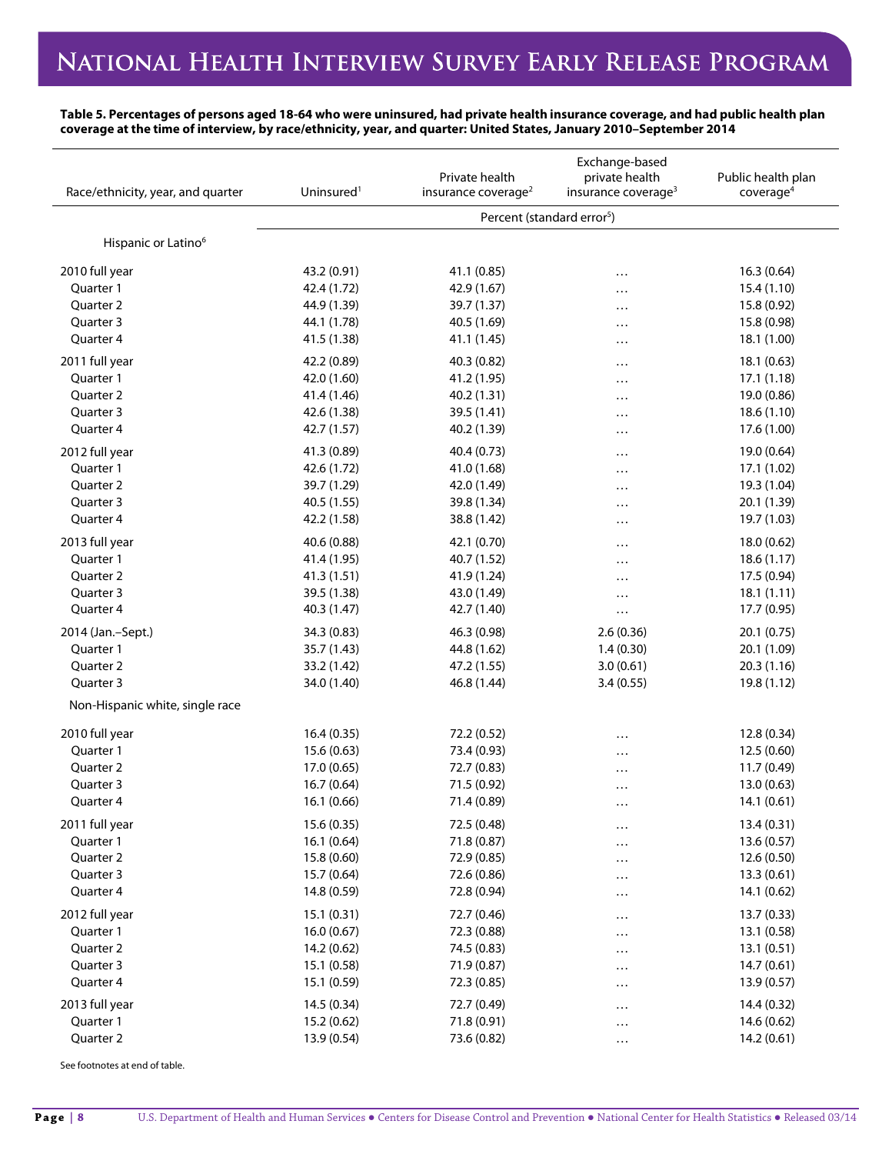### **Table 5. Percentages of persons aged 18-64 who were uninsured, had private health insurance coverage, and had public health plan coverage at the time of interview, by race/ethnicity, year, and quarter: United States, January 2010–September 2014**

| Race/ethnicity, year, and quarter | Uninsured <sup>1</sup> | Private health<br>insurance coverage <sup>2</sup> | Exchange-based<br>private health<br>insurance coverage <sup>3</sup> | Public health plan<br>coverage <sup>4</sup> |  |
|-----------------------------------|------------------------|---------------------------------------------------|---------------------------------------------------------------------|---------------------------------------------|--|
|                                   |                        | Percent (standard error <sup>5</sup> )            |                                                                     |                                             |  |
| Hispanic or Latino <sup>6</sup>   |                        |                                                   |                                                                     |                                             |  |
| 2010 full year                    | 43.2 (0.91)            | 41.1 (0.85)                                       | .                                                                   | 16.3(0.64)                                  |  |
| Quarter 1                         | 42.4 (1.72)            | 42.9 (1.67)                                       | $\ddots$                                                            | 15.4 (1.10)                                 |  |
| Quarter 2                         | 44.9 (1.39)            | 39.7 (1.37)                                       | $\ddotsc$                                                           | 15.8 (0.92)                                 |  |
| Quarter 3                         | 44.1 (1.78)            | 40.5 (1.69)                                       | .                                                                   | 15.8 (0.98)                                 |  |
| Quarter 4                         | 41.5 (1.38)            | 41.1 (1.45)                                       | $\ddotsc$                                                           | 18.1 (1.00)                                 |  |
| 2011 full year                    | 42.2 (0.89)            | 40.3 (0.82)                                       | $\ddots$                                                            | 18.1 (0.63)                                 |  |
| Quarter 1                         | 42.0 (1.60)            | 41.2 (1.95)                                       | .                                                                   | 17.1 (1.18)                                 |  |
| Quarter 2                         | 41.4 (1.46)            | 40.2 (1.31)                                       | $\cdots$                                                            | 19.0 (0.86)                                 |  |
| Quarter 3                         | 42.6 (1.38)            | 39.5 (1.41)                                       | $\cdots$                                                            | 18.6 (1.10)                                 |  |
| Quarter 4                         | 42.7 (1.57)            | 40.2 (1.39)                                       | $\cdots$                                                            | 17.6 (1.00)                                 |  |
| 2012 full year                    | 41.3 (0.89)            | 40.4 (0.73)                                       | $\cdots$                                                            | 19.0 (0.64)                                 |  |
| Quarter 1                         | 42.6 (1.72)            | 41.0 (1.68)                                       | $\cdots$                                                            | 17.1 (1.02)                                 |  |
| Quarter 2                         | 39.7 (1.29)            | 42.0 (1.49)                                       | $\cdots$                                                            | 19.3 (1.04)                                 |  |
| Quarter 3                         | 40.5 (1.55)            | 39.8 (1.34)                                       | $\cdots$                                                            | 20.1 (1.39)                                 |  |
| Quarter 4                         | 42.2 (1.58)            | 38.8 (1.42)                                       | $\cdots$                                                            | 19.7 (1.03)                                 |  |
| 2013 full year                    | 40.6 (0.88)            | 42.1 (0.70)                                       | $\cdots$                                                            | 18.0 (0.62)                                 |  |
| Quarter 1                         | 41.4 (1.95)            | 40.7 (1.52)                                       | $\ddotsc$                                                           | 18.6 (1.17)                                 |  |
| Quarter 2                         | 41.3 (1.51)            | 41.9 (1.24)                                       | $\ddots$                                                            | 17.5 (0.94)                                 |  |
| Quarter 3                         | 39.5 (1.38)            | 43.0 (1.49)                                       | .                                                                   | 18.1(1.11)                                  |  |
| Quarter 4                         | 40.3 (1.47)            | 42.7 (1.40)                                       | $\cdots$                                                            | 17.7 (0.95)                                 |  |
| 2014 (Jan.-Sept.)                 | 34.3 (0.83)            | 46.3 (0.98)                                       | 2.6(0.36)                                                           | 20.1 (0.75)                                 |  |
| Quarter 1                         | 35.7 (1.43)            | 44.8 (1.62)                                       | 1.4(0.30)                                                           | 20.1 (1.09)                                 |  |
| Quarter 2                         | 33.2 (1.42)            | 47.2 (1.55)                                       | 3.0(0.61)                                                           | 20.3(1.16)                                  |  |
| Quarter 3                         | 34.0 (1.40)            | 46.8 (1.44)                                       | 3.4(0.55)                                                           | 19.8 (1.12)                                 |  |
| Non-Hispanic white, single race   |                        |                                                   |                                                                     |                                             |  |
| 2010 full year                    | 16.4(0.35)             | 72.2 (0.52)                                       | .                                                                   | 12.8 (0.34)                                 |  |
| Quarter 1                         | 15.6 (0.63)            | 73.4 (0.93)                                       | .                                                                   | 12.5 (0.60)                                 |  |
| Quarter 2                         | 17.0 (0.65)            | 72.7 (0.83)                                       | .                                                                   | 11.7 (0.49)                                 |  |
| Quarter 3                         | 16.7(0.64)             | 71.5 (0.92)                                       | $\ddotsc$                                                           | 13.0(0.63)                                  |  |
| Quarter 4                         | 16.1 (0.66)            | 71.4 (0.89)                                       | $\ddotsc$                                                           | 14.1 (0.61)                                 |  |
| 2011 full year                    | 15.6 (0.35)            | 72.5 (0.48)                                       | $\cdots$                                                            | 13.4(0.31)                                  |  |
| Quarter 1                         | 16.1(0.64)             | 71.8 (0.87)                                       | $\cdots$                                                            | 13.6 (0.57)                                 |  |
| Quarter 2                         | 15.8 (0.60)            | 72.9 (0.85)                                       | .                                                                   | 12.6 (0.50)                                 |  |
| Quarter 3                         | 15.7 (0.64)            | 72.6 (0.86)                                       | .                                                                   | 13.3(0.61)                                  |  |
| Quarter 4                         | 14.8 (0.59)            | 72.8 (0.94)                                       | $\cdots$                                                            | 14.1 (0.62)                                 |  |
| 2012 full year                    | 15.1 (0.31)            | 72.7 (0.46)                                       | $\cdots$                                                            | 13.7 (0.33)                                 |  |
| Quarter 1                         | 16.0(0.67)             | 72.3 (0.88)                                       | $\cdots$                                                            | 13.1 (0.58)                                 |  |
| Quarter 2                         | 14.2 (0.62)            | 74.5 (0.83)                                       | .                                                                   | 13.1(0.51)                                  |  |
| Quarter 3                         | 15.1 (0.58)            | 71.9 (0.87)                                       |                                                                     | 14.7 (0.61)                                 |  |
| Quarter 4                         | 15.1 (0.59)            | 72.3 (0.85)                                       | $\ddots$                                                            | 13.9 (0.57)                                 |  |
| 2013 full year                    | 14.5 (0.34)            | 72.7 (0.49)                                       | $\cdots$                                                            | 14.4 (0.32)                                 |  |
| Quarter 1                         | 15.2 (0.62)            | 71.8 (0.91)                                       | .                                                                   | 14.6 (0.62)                                 |  |
| Quarter 2                         | 13.9 (0.54)            | 73.6 (0.82)                                       | $\cdots$                                                            | 14.2 (0.61)                                 |  |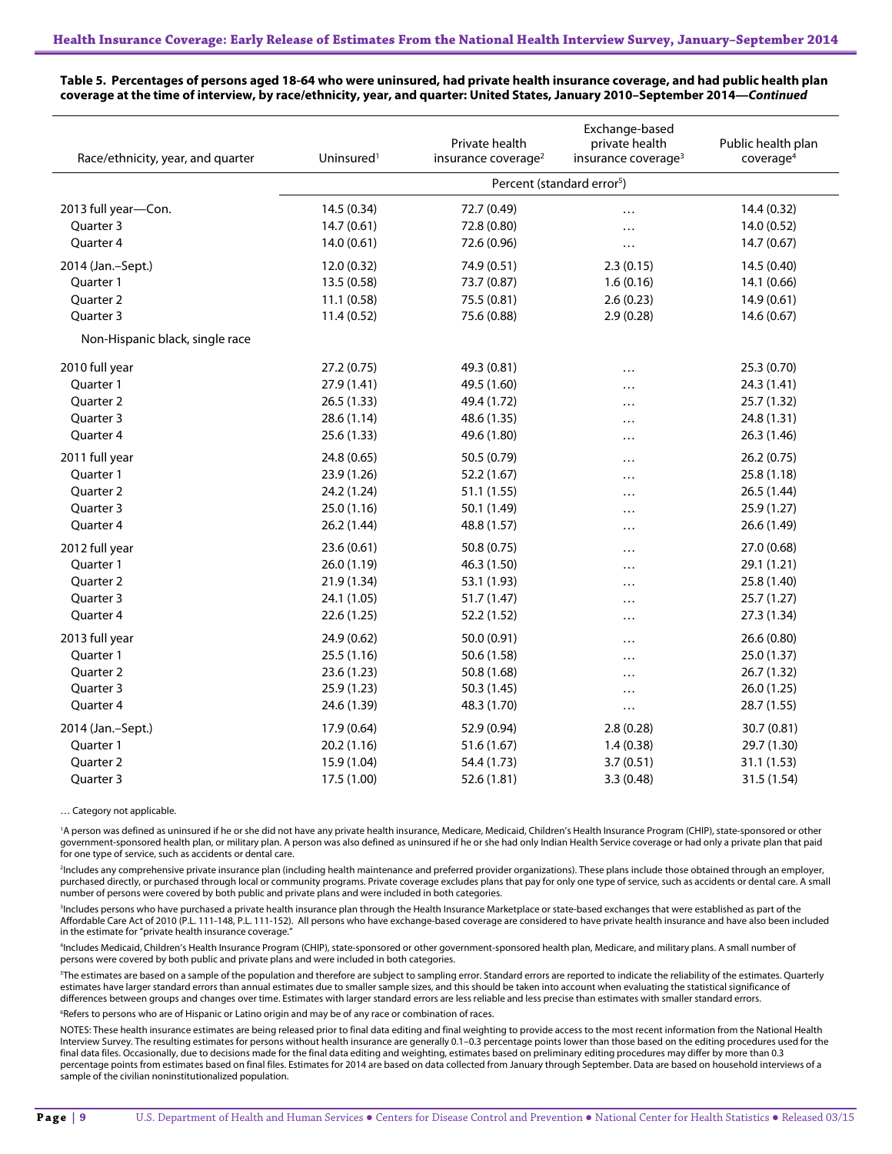| Race/ethnicity, year, and quarter | Uninsured <sup>1</sup>                 | Private health<br>insurance coverage <sup>2</sup> | Exchange-based<br>private health<br>insurance coverage <sup>3</sup> | Public health plan<br>coverage <sup>4</sup> |  |
|-----------------------------------|----------------------------------------|---------------------------------------------------|---------------------------------------------------------------------|---------------------------------------------|--|
|                                   | Percent (standard error <sup>5</sup> ) |                                                   |                                                                     |                                             |  |
| 2013 full year-Con.               | 14.5 (0.34)                            | 72.7 (0.49)                                       | $\cdots$                                                            | 14.4 (0.32)                                 |  |
| Quarter 3                         | 14.7(0.61)                             | 72.8 (0.80)                                       |                                                                     | 14.0 (0.52)                                 |  |
| Quarter 4                         | 14.0(0.61)                             | 72.6 (0.96)                                       | .                                                                   | 14.7(0.67)                                  |  |
| 2014 (Jan.-Sept.)                 | 12.0 (0.32)                            | 74.9 (0.51)                                       | 2.3(0.15)                                                           | 14.5 (0.40)                                 |  |
| Quarter 1                         | 13.5(0.58)                             | 73.7 (0.87)                                       | 1.6(0.16)                                                           | 14.1 (0.66)                                 |  |
| Quarter 2                         | 11.1(0.58)                             | 75.5 (0.81)                                       | 2.6(0.23)                                                           | 14.9(0.61)                                  |  |
| Quarter 3                         | 11.4(0.52)                             | 75.6 (0.88)                                       | 2.9(0.28)                                                           | 14.6 (0.67)                                 |  |
| Non-Hispanic black, single race   |                                        |                                                   |                                                                     |                                             |  |
| 2010 full year                    | 27.2 (0.75)                            | 49.3 (0.81)                                       | .                                                                   | 25.3 (0.70)                                 |  |
| Quarter 1                         | 27.9 (1.41)                            | 49.5 (1.60)                                       | .                                                                   | 24.3 (1.41)                                 |  |
| Quarter 2                         | 26.5 (1.33)                            | 49.4 (1.72)                                       | .                                                                   | 25.7 (1.32)                                 |  |
| Quarter 3                         | 28.6 (1.14)                            | 48.6 (1.35)                                       | .                                                                   | 24.8 (1.31)                                 |  |
| Quarter 4                         | 25.6 (1.33)                            | 49.6 (1.80)                                       | .                                                                   | 26.3 (1.46)                                 |  |
| 2011 full year                    | 24.8 (0.65)                            | 50.5 (0.79)                                       | .                                                                   | 26.2 (0.75)                                 |  |
| Quarter 1                         | 23.9 (1.26)                            | 52.2 (1.67)                                       | .                                                                   | 25.8(1.18)                                  |  |
| <b>Ouarter 2</b>                  | 24.2 (1.24)                            | 51.1 (1.55)                                       | $\cdots$                                                            | 26.5 (1.44)                                 |  |
| Quarter 3                         | 25.0 (1.16)                            | 50.1 (1.49)                                       | .                                                                   | 25.9 (1.27)                                 |  |
| Quarter 4                         | 26.2 (1.44)                            | 48.8 (1.57)                                       | .                                                                   | 26.6 (1.49)                                 |  |
| 2012 full year                    | 23.6 (0.61)                            | 50.8 (0.75)                                       | .                                                                   | 27.0 (0.68)                                 |  |
| Ouarter 1                         | 26.0 (1.19)                            | 46.3 (1.50)                                       | .                                                                   | 29.1 (1.21)                                 |  |
| Quarter 2                         | 21.9 (1.34)                            | 53.1 (1.93)                                       | .                                                                   | 25.8 (1.40)                                 |  |
| Quarter 3                         | 24.1 (1.05)                            | 51.7 (1.47)                                       | .                                                                   | 25.7(1.27)                                  |  |
| Quarter 4                         | 22.6(1.25)                             | 52.2 (1.52)                                       | .                                                                   | 27.3 (1.34)                                 |  |
| 2013 full year                    | 24.9 (0.62)                            | 50.0 (0.91)                                       | .                                                                   | 26.6 (0.80)                                 |  |
| Quarter 1                         | 25.5(1.16)                             | 50.6 (1.58)                                       | .                                                                   | 25.0 (1.37)                                 |  |
| Quarter 2                         | 23.6 (1.23)                            | 50.8 (1.68)                                       | .                                                                   | 26.7 (1.32)                                 |  |
| Quarter 3                         | 25.9(1.23)                             | 50.3 (1.45)                                       | .                                                                   | 26.0 (1.25)                                 |  |
| Quarter 4                         | 24.6 (1.39)                            | 48.3 (1.70)                                       | $\cdots$                                                            | 28.7 (1.55)                                 |  |
| 2014 (Jan.-Sept.)                 | 17.9 (0.64)                            | 52.9 (0.94)                                       | 2.8(0.28)                                                           | 30.7 (0.81)                                 |  |
| Quarter 1                         | 20.2 (1.16)                            | 51.6 (1.67)                                       | 1.4(0.38)                                                           | 29.7 (1.30)                                 |  |
| Quarter 2                         | 15.9 (1.04)                            | 54.4 (1.73)                                       | 3.7(0.51)                                                           | 31.1 (1.53)                                 |  |
| Quarter 3                         | 17.5 (1.00)                            | 52.6 (1.81)                                       | 3.3(0.48)                                                           | 31.5 (1.54)                                 |  |

#### **Table 5. Percentages of persons aged 18-64 who were uninsured, had private health insurance coverage, and had public health plan coverage at the time of interview, by race/ethnicity, year, and quarter: United States, January 2010–September 2014—***Continued*

… Category not applicable.

<sup>1</sup>A person was defined as uninsured if he or she did not have any private health insurance, Medicare, Medicaid, Children's Health Insurance Program (CHIP), state-sponsored or other government-sponsored health plan, or military plan. A person was also defined as uninsured if he or she had only Indian Health Service coverage or had only a private plan that paid for one type of service, such as accidents or dental care.

2 Includes any comprehensive private insurance plan (including health maintenance and preferred provider organizations). These plans include those obtained through an employer, purchased directly, or purchased through local or community programs. Private coverage excludes plans that pay for only one type of service, such as accidents or dental care. A small number of persons were covered by both public and private plans and were included in both categories.

3 Includes persons who have purchased a private health insurance plan through the Health Insurance Marketplace or state-based exchanges that were established as part of the Affordable Care Act of 2010 (P.L. 111-148, P.L. 111-152). All persons who have exchange-based coverage are considered to have private health insurance and have also been included in the estimate for "private health insurance coverage.

4 Includes Medicaid, Children's Health Insurance Program (CHIP), state-sponsored or other government-sponsored health plan, Medicare, and military plans. A small number of persons were covered by both public and private plans and were included in both categories.

5 The estimates are based on a sample of the population and therefore are subject to sampling error. Standard errors are reported to indicate the reliability of the estimates. Quarterly estimates have larger standard errors than annual estimates due to smaller sample sizes, and this should be taken into account when evaluating the statistical significance of differences between groups and changes over time. Estimates with larger standard errors are less reliable and less precise than estimates with smaller standard errors.

<sup>6</sup>Refers to persons who are of Hispanic or Latino origin and may be of any race or combination of races.

NOTES: These health insurance estimates are being released prior to final data editing and final weighting to provide access to the most recent information from the National Health Interview Survey. The resulting estimates for persons without health insurance are generally 0.1–0.3 percentage points lower than those based on the editing procedures used for the final data files. Occasionally, due to decisions made for the final data editing and weighting, estimates based on preliminary editing procedures may differ by more than 0.3 percentage points from estimates based on final files. Estimates for 2014 are based on data collected from January through September. Data are based on household interviews of a sample of the civilian noninstitutionalized population.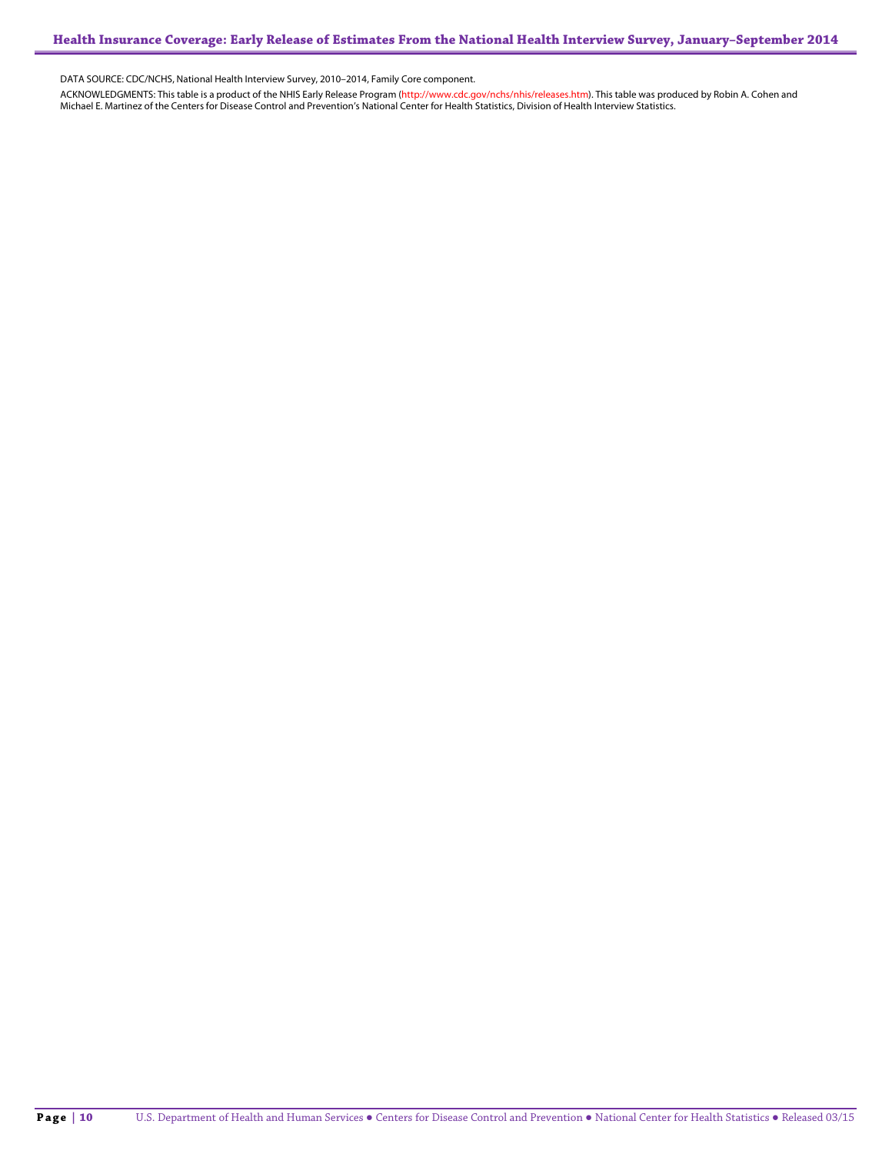DATA SOURCE: CDC/NCHS, National Health Interview Survey, 2010–2014, Family Core component.

ACKNOWLEDGMENTS: This table is a product of the NHIS Early Release Program (<mark>http://www.cdc.gov/nchs/nhis/releases.htm</mark>). This table was produced by Robin A. Cohen and<br>Michael E. Martinez of the Centers for Disease Control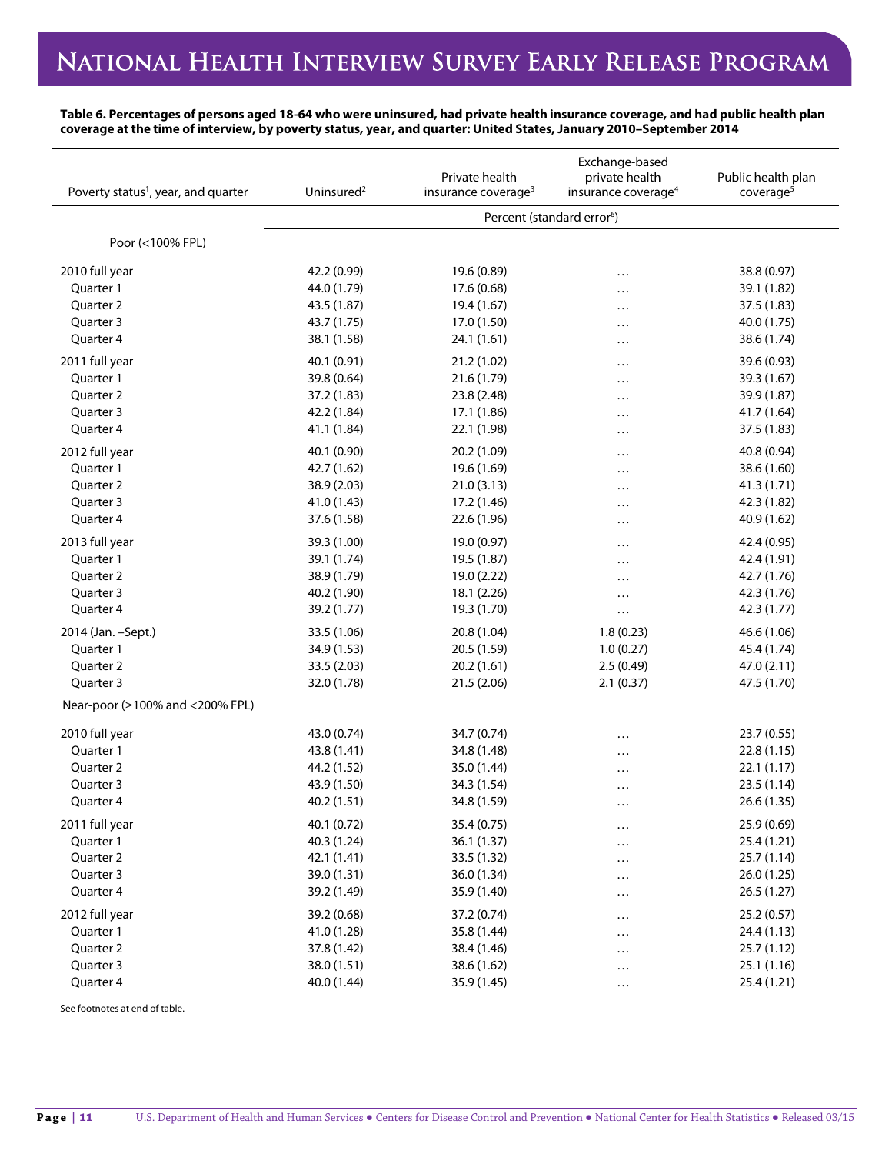## NATIONAL HEALTH INTERVIEW SURVEY EARLY RELEASE PROGRAM

**Table 6. Percentages of persons aged 18-64 who were uninsured, had private health insurance coverage, and had public health plan coverage at the time of interview, by poverty status, year, and quarter: United States, January 2010–September 2014**

| Poverty status <sup>1</sup> , year, and quarter | Uninsured <sup>2</sup> | Private health<br>insurance coverage <sup>3</sup> | Exchange-based<br>private health<br>insurance coverage <sup>4</sup> | Public health plan<br>coverage <sup>5</sup> |
|-------------------------------------------------|------------------------|---------------------------------------------------|---------------------------------------------------------------------|---------------------------------------------|
|                                                 |                        |                                                   | Percent (standard error <sup>6</sup> )                              |                                             |
| Poor (<100% FPL)                                |                        |                                                   |                                                                     |                                             |
| 2010 full year                                  | 42.2 (0.99)            | 19.6 (0.89)                                       | .                                                                   | 38.8 (0.97)                                 |
| Quarter 1                                       | 44.0 (1.79)            | 17.6 (0.68)                                       |                                                                     | 39.1 (1.82)                                 |
| Quarter 2                                       | 43.5 (1.87)            | 19.4 (1.67)                                       | .                                                                   | 37.5 (1.83)                                 |
| Quarter 3                                       | 43.7 (1.75)            | 17.0 (1.50)                                       |                                                                     | 40.0 (1.75)                                 |
| Quarter 4                                       | 38.1 (1.58)            | 24.1 (1.61)                                       | .                                                                   | 38.6 (1.74)                                 |
| 2011 full year                                  | 40.1 (0.91)            | 21.2 (1.02)                                       | .                                                                   | 39.6 (0.93)                                 |
| Quarter 1                                       | 39.8 (0.64)            | 21.6 (1.79)                                       |                                                                     | 39.3 (1.67)                                 |
| Quarter 2                                       | 37.2 (1.83)            | 23.8 (2.48)                                       | .                                                                   | 39.9 (1.87)                                 |
| Quarter 3                                       | 42.2 (1.84)            | 17.1 (1.86)                                       | .                                                                   | 41.7 (1.64)                                 |
| Quarter 4                                       | 41.1 (1.84)            | 22.1 (1.98)                                       | .                                                                   | 37.5 (1.83)                                 |
| 2012 full year                                  | 40.1 (0.90)            | 20.2 (1.09)                                       | .                                                                   | 40.8 (0.94)                                 |
| Quarter 1                                       | 42.7 (1.62)            | 19.6 (1.69)                                       |                                                                     | 38.6 (1.60)                                 |
| Quarter 2                                       | 38.9 (2.03)            | 21.0(3.13)                                        |                                                                     | 41.3 (1.71)                                 |
| Quarter 3                                       | 41.0 (1.43)            | 17.2 (1.46)                                       | $\cdots$                                                            | 42.3 (1.82)                                 |
| Quarter 4                                       | 37.6 (1.58)            | 22.6 (1.96)                                       | .                                                                   | 40.9 (1.62)                                 |
| 2013 full year                                  | 39.3 (1.00)            | 19.0 (0.97)                                       | .                                                                   | 42.4 (0.95)                                 |
| Quarter 1                                       | 39.1 (1.74)            | 19.5 (1.87)                                       | .                                                                   | 42.4 (1.91)                                 |
| Quarter 2                                       | 38.9 (1.79)            | 19.0 (2.22)                                       | .                                                                   | 42.7 (1.76)                                 |
| Quarter 3                                       | 40.2 (1.90)            | 18.1 (2.26)                                       | $\cdots$                                                            | 42.3 (1.76)                                 |
| Quarter 4                                       | 39.2 (1.77)            | 19.3 (1.70)                                       | $\cdots$                                                            | 42.3 (1.77)                                 |
| 2014 (Jan. - Sept.)                             | 33.5 (1.06)            | 20.8 (1.04)                                       | 1.8(0.23)                                                           | 46.6 (1.06)                                 |
| Quarter 1                                       | 34.9 (1.53)            | 20.5 (1.59)                                       | 1.0(0.27)                                                           | 45.4 (1.74)                                 |
| Quarter 2                                       | 33.5 (2.03)            | 20.2 (1.61)                                       | 2.5(0.49)                                                           | 47.0 (2.11)                                 |
| Quarter 3                                       | 32.0 (1.78)            | 21.5 (2.06)                                       | 2.1(0.37)                                                           | 47.5 (1.70)                                 |
| Near-poor (≥100% and <200% FPL)                 |                        |                                                   |                                                                     |                                             |
| 2010 full year                                  | 43.0 (0.74)            | 34.7 (0.74)                                       | $\cdots$                                                            | 23.7 (0.55)                                 |
| Quarter 1                                       | 43.8 (1.41)            | 34.8 (1.48)                                       |                                                                     | 22.8(1.15)                                  |
| Quarter 2                                       | 44.2 (1.52)            | 35.0 (1.44)                                       | .                                                                   | 22.1(1.17)                                  |
| Quarter 3                                       | 43.9 (1.50)            | 34.3 (1.54)                                       | .                                                                   | 23.5 (1.14)                                 |
| Quarter 4                                       | 40.2 (1.51)            | 34.8 (1.59)                                       | $\cdots$                                                            | 26.6 (1.35)                                 |
| 2011 full year                                  | 40.1 (0.72)            | 35.4 (0.75)                                       | $\cdots$                                                            | 25.9 (0.69)                                 |
| Quarter 1                                       | 40.3 (1.24)            | 36.1 (1.37)                                       | $\cdots$                                                            | 25.4 (1.21)                                 |
| Quarter 2                                       | 42.1 (1.41)            | 33.5 (1.32)                                       |                                                                     | 25.7 (1.14)                                 |
| Quarter 3                                       | 39.0 (1.31)            | 36.0 (1.34)                                       |                                                                     | 26.0 (1.25)                                 |
| Quarter 4                                       | 39.2 (1.49)            | 35.9 (1.40)                                       | $\cdots$                                                            | 26.5 (1.27)                                 |
| 2012 full year                                  | 39.2 (0.68)            | 37.2 (0.74)                                       |                                                                     | 25.2 (0.57)                                 |
| Quarter 1                                       | 41.0 (1.28)            | 35.8 (1.44)                                       |                                                                     | 24.4 (1.13)                                 |
| Quarter 2                                       | 37.8 (1.42)            | 38.4 (1.46)                                       | $\cdots$                                                            | 25.7 (1.12)                                 |
| Quarter 3                                       | 38.0 (1.51)            | 38.6 (1.62)                                       | $\cdots$                                                            | 25.1 (1.16)                                 |
| Quarter 4                                       | 40.0 (1.44)            | 35.9 (1.45)                                       |                                                                     | 25.4 (1.21)                                 |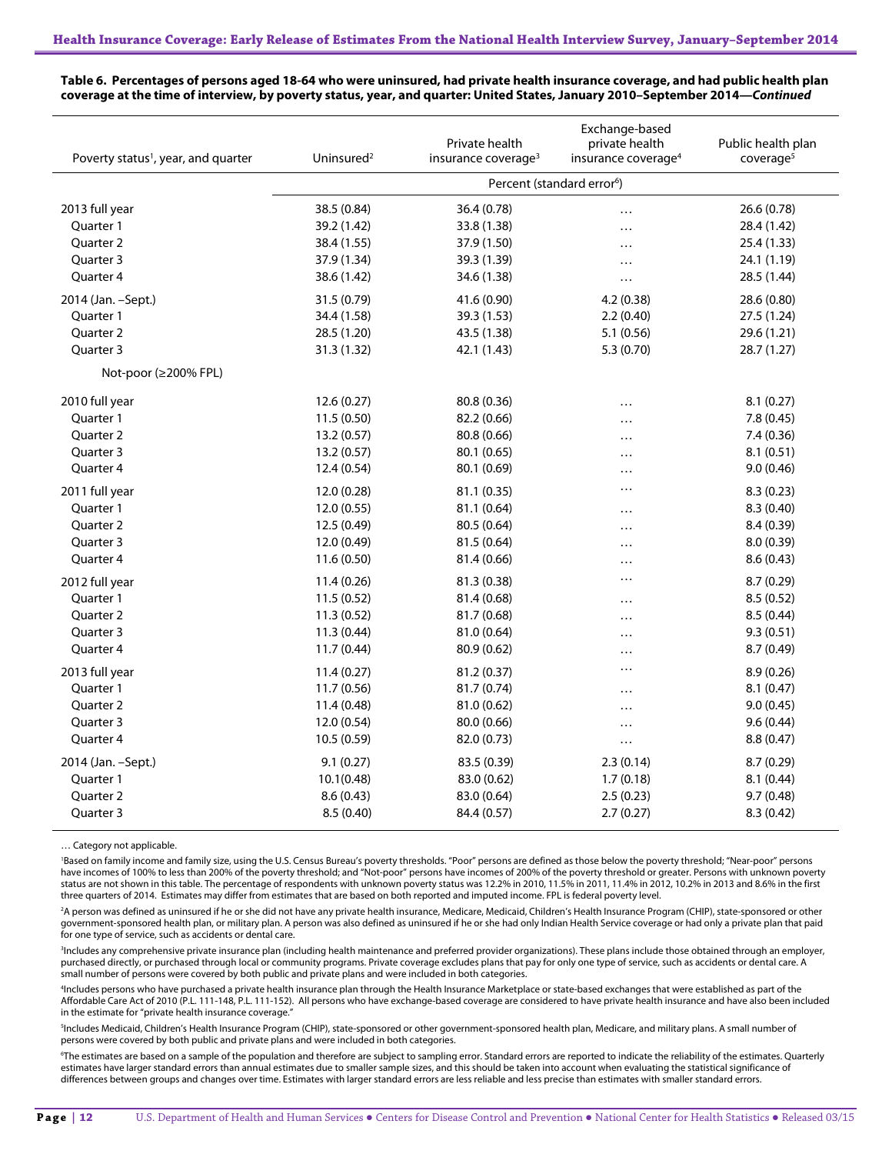| Poverty status <sup>1</sup> , year, and quarter | Uninsured <sup>2</sup>                 | Private health<br>insurance coverage <sup>3</sup> | Exchange-based<br>private health<br>insurance coverage <sup>4</sup> | Public health plan<br>coverage <sup>5</sup> |  |
|-------------------------------------------------|----------------------------------------|---------------------------------------------------|---------------------------------------------------------------------|---------------------------------------------|--|
|                                                 | Percent (standard error <sup>6</sup> ) |                                                   |                                                                     |                                             |  |
| 2013 full year                                  | 38.5 (0.84)                            | 36.4 (0.78)                                       | .                                                                   | 26.6 (0.78)                                 |  |
| Quarter 1                                       | 39.2 (1.42)                            | 33.8 (1.38)                                       | .                                                                   | 28.4 (1.42)                                 |  |
| Quarter 2                                       | 38.4 (1.55)                            | 37.9 (1.50)                                       | .                                                                   | 25.4 (1.33)                                 |  |
| Quarter 3                                       | 37.9 (1.34)                            | 39.3 (1.39)                                       | .                                                                   | 24.1 (1.19)                                 |  |
| Quarter 4                                       | 38.6 (1.42)                            | 34.6 (1.38)                                       | .                                                                   | 28.5 (1.44)                                 |  |
| 2014 (Jan. - Sept.)                             | 31.5 (0.79)                            | 41.6 (0.90)                                       | 4.2(0.38)                                                           | 28.6 (0.80)                                 |  |
| Quarter 1                                       | 34.4 (1.58)                            | 39.3 (1.53)                                       | 2.2(0.40)                                                           | 27.5 (1.24)                                 |  |
| Quarter 2                                       | 28.5 (1.20)                            | 43.5 (1.38)                                       | 5.1(0.56)                                                           | 29.6 (1.21)                                 |  |
| Ouarter 3                                       | 31.3 (1.32)                            | 42.1 (1.43)                                       | 5.3 (0.70)                                                          | 28.7 (1.27)                                 |  |
| Not-poor (≥200% FPL)                            |                                        |                                                   |                                                                     |                                             |  |
| 2010 full year                                  | 12.6(0.27)                             | 80.8 (0.36)                                       |                                                                     | 8.1(0.27)                                   |  |
| Quarter 1                                       | 11.5(0.50)                             | 82.2 (0.66)                                       | .                                                                   | 7.8(0.45)                                   |  |
| Quarter 2                                       | 13.2 (0.57)                            | 80.8 (0.66)                                       | .                                                                   | 7.4(0.36)                                   |  |
| Quarter 3                                       | 13.2 (0.57)                            | 80.1 (0.65)                                       | .                                                                   | 8.1(0.51)                                   |  |
| Quarter 4                                       | 12.4 (0.54)                            | 80.1 (0.69)                                       | .                                                                   | 9.0(0.46)                                   |  |
| 2011 full year                                  | 12.0 (0.28)                            | 81.1 (0.35)                                       | .                                                                   | 8.3(0.23)                                   |  |
| Quarter 1                                       | 12.0 (0.55)                            | 81.1 (0.64)                                       |                                                                     | 8.3 (0.40)                                  |  |
| <b>Ouarter 2</b>                                | 12.5 (0.49)                            | 80.5 (0.64)                                       | .                                                                   | 8.4(0.39)                                   |  |
| Quarter 3                                       | 12.0 (0.49)                            | 81.5 (0.64)                                       | .                                                                   | 8.0(0.39)                                   |  |
| Quarter 4                                       | 11.6 (0.50)                            | 81.4 (0.66)                                       | .                                                                   | 8.6(0.43)                                   |  |
| 2012 full year                                  | 11.4 (0.26)                            | 81.3 (0.38)                                       | .                                                                   | 8.7(0.29)                                   |  |
| Quarter 1                                       | 11.5(0.52)                             | 81.4 (0.68)                                       | .                                                                   | 8.5(0.52)                                   |  |
| <b>Ouarter 2</b>                                | 11.3 (0.52)                            | 81.7 (0.68)                                       | .                                                                   | 8.5(0.44)                                   |  |
| Quarter 3                                       | 11.3 (0.44)                            | 81.0 (0.64)                                       | .                                                                   | 9.3(0.51)                                   |  |
| Quarter 4                                       | 11.7(0.44)                             | 80.9 (0.62)                                       |                                                                     | 8.7 (0.49)                                  |  |
| 2013 full year                                  | 11.4(0.27)                             | 81.2 (0.37)                                       | .                                                                   | 8.9(0.26)                                   |  |
| Quarter 1                                       | 11.7 (0.56)                            | 81.7 (0.74)                                       | .                                                                   | 8.1(0.47)                                   |  |
| Quarter 2                                       | 11.4 (0.48)                            | 81.0 (0.62)                                       | .                                                                   | 9.0(0.45)                                   |  |
| Quarter 3                                       | 12.0 (0.54)                            | 80.0 (0.66)                                       | .                                                                   | 9.6(0.44)                                   |  |
| Quarter 4                                       | 10.5(0.59)                             | 82.0 (0.73)                                       | .                                                                   | 8.8(0.47)                                   |  |
| 2014 (Jan. - Sept.)                             | 9.1(0.27)                              | 83.5 (0.39)                                       | 2.3(0.14)                                                           | 8.7(0.29)                                   |  |
| Quarter 1                                       | 10.1(0.48)                             | 83.0 (0.62)                                       | 1.7(0.18)                                                           | 8.1(0.44)                                   |  |
| Quarter 2                                       | 8.6(0.43)                              | 83.0 (0.64)                                       | 2.5(0.23)                                                           | 9.7(0.48)                                   |  |
| Quarter 3                                       | 8.5 (0.40)                             | 84.4 (0.57)                                       | 2.7(0.27)                                                           | 8.3(0.42)                                   |  |

**Table 6. Percentages of persons aged 18-64 who were uninsured, had private health insurance coverage, and had public health plan coverage at the time of interview, by poverty status, year, and quarter: United States, January 2010–September 2014—***Continued*

… Category not applicable.

'Based on family income and family size, using the U.S. Census Bureau's poverty thresholds. "Poor" persons are defined as those below the poverty threshold; "Near-poor" persons have incomes of 100% to less than 200% of the poverty threshold; and "Not-poor" persons have incomes of 200% of the poverty threshold or greater. Persons with unknown poverty status are not shown in this table. The percentage of respondents with unknown poverty status was 12.2% in 2010, 11.5% in 2011, 11.4% in 2012, 10.2% in 2013 and 8.6% in the first three quarters of 2014. Estimates may differ from estimates that are based on both reported and imputed income. FPL is federal poverty level.

<sup>2</sup>A person was defined as uninsured if he or she did not have any private health insurance, Medicare, Medicaid, Children's Health Insurance Program (CHIP), state-sponsored or other government-sponsored health plan, or military plan. A person was also defined as uninsured if he or she had only Indian Health Service coverage or had only a private plan that paid for one type of service, such as accidents or dental care.

3 Includes any comprehensive private insurance plan (including health maintenance and preferred provider organizations). These plans include those obtained through an employer, purchased directly, or purchased through local or community programs. Private coverage excludes plans that pay for only one type of service, such as accidents or dental care. A<br>small number of persons were covered by both

4 Includes persons who have purchased a private health insurance plan through the Health Insurance Marketplace or state-based exchanges that were established as part of the Affordable Care Act of 2010 (P.L. 111-148, P.L. 111-152). All persons who have exchange-based coverage are considered to have private health insurance and have also been included in the estimate for "private health insurance coverage."

5 Includes Medicaid, Children's Health Insurance Program (CHIP), state-sponsored or other government-sponsored health plan, Medicare, and military plans. A small number of persons were covered by both public and private plans and were included in both categories.

<sup>6</sup>The estimates are based on a sample of the population and therefore are subject to sampling error. Standard errors are reported to indicate the reliability of the estimates. Quarterly estimates have larger standard errors than annual estimates due to smaller sample sizes, and this should be taken into account when evaluating the statistical significance of differences between groups and changes over time. Estimates with larger standard errors are less reliable and less precise than estimates with smaller standard errors.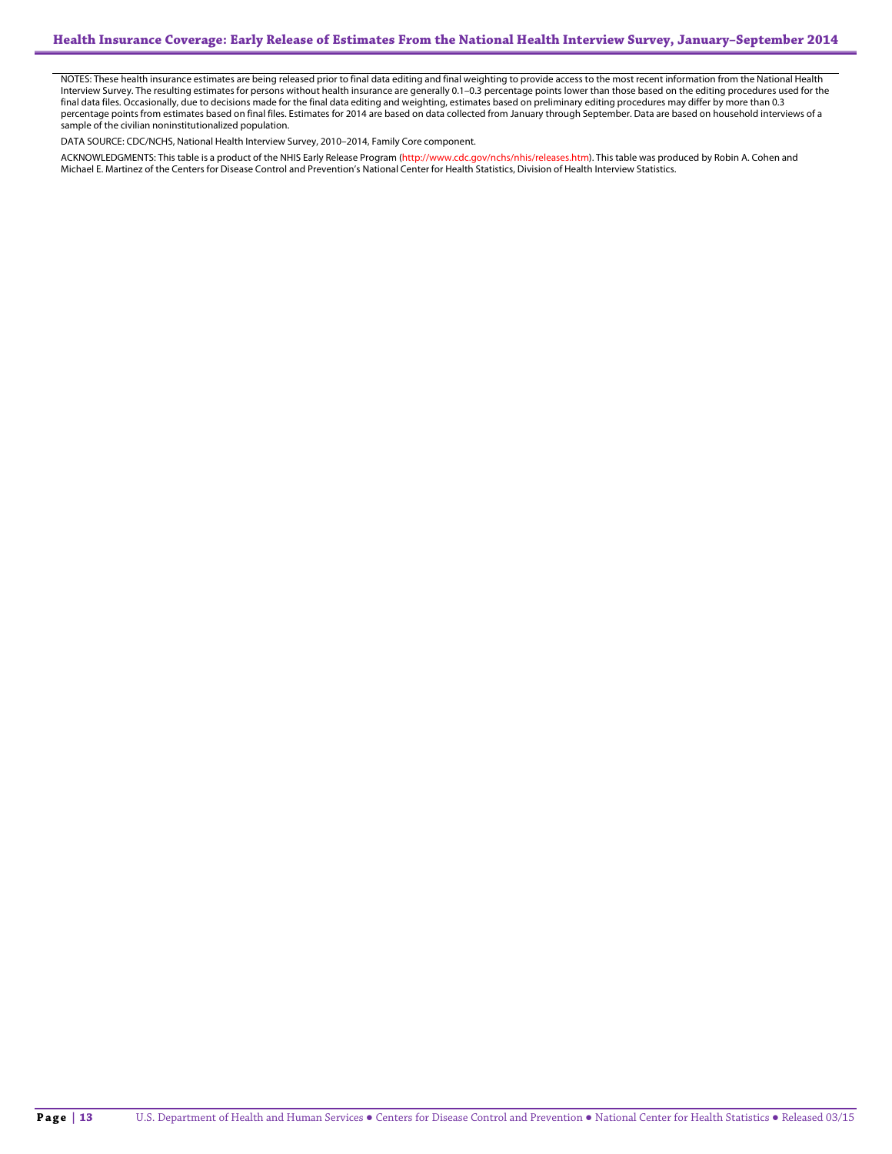NOTES: These health insurance estimates are being released prior to final data editing and final weighting to provide access to the most recent information from the National Health Interview Survey. The resulting estimates for persons without health insurance are generally 0.1–0.3 percentage points lower than those based on the editing procedures used for the final data files. Occasionally, due to decisions made for the final data editing and weighting, estimates based on preliminary editing procedures may differ by more than 0.3 percentage points from estimates based on final files. Estimates for 2014 are based on data collected from January through September. Data are based on household interviews of a sample of the civilian noninstitutionalized population.

DATA SOURCE: CDC/NCHS, National Health Interview Survey, 2010–2014, Family Core component.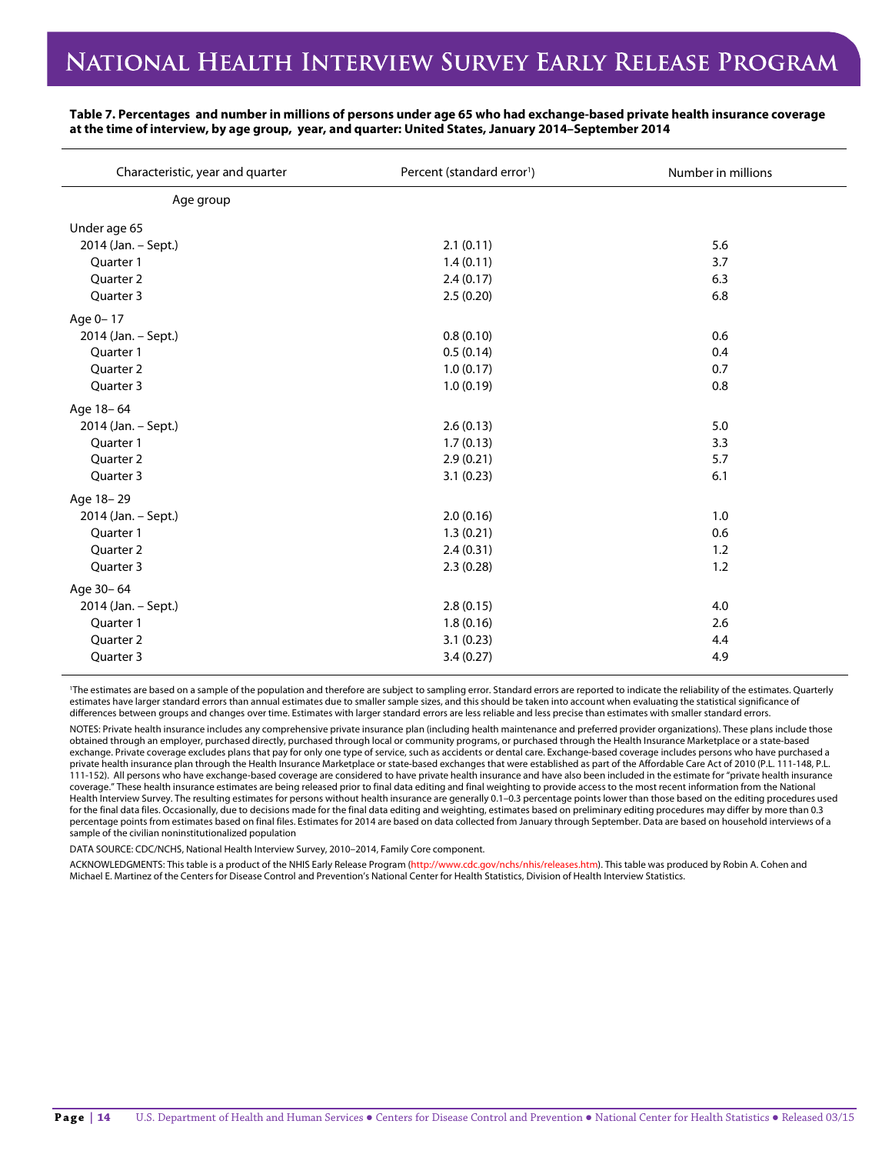### NATIONAL HEALTH INTERVIEW SURVEY EARLY RELEASE PROGRAM

| Characteristic, year and quarter | Percent (standard error <sup>1</sup> ) | Number in millions |
|----------------------------------|----------------------------------------|--------------------|
| Age group                        |                                        |                    |
| Under age 65                     |                                        |                    |
| 2014 (Jan. - Sept.)              | 2.1(0.11)                              | 5.6                |
| Quarter 1                        | 1.4(0.11)                              | 3.7                |
| Quarter 2                        | 2.4(0.17)                              | 6.3                |
| Quarter 3                        | 2.5(0.20)                              | 6.8                |
| Age 0-17                         |                                        |                    |
| 2014 (Jan. - Sept.)              | 0.8(0.10)                              | 0.6                |
| Quarter 1                        | 0.5(0.14)                              | 0.4                |
| Quarter 2                        | 1.0(0.17)                              | 0.7                |
| Quarter 3                        | 1.0(0.19)                              | 0.8                |
| Age 18-64                        |                                        |                    |
| 2014 (Jan. - Sept.)              | 2.6(0.13)                              | 5.0                |
| Quarter 1                        | 1.7(0.13)                              | 3.3                |
| Quarter 2                        | 2.9(0.21)                              | 5.7                |
| Quarter 3                        | 3.1(0.23)                              | 6.1                |
| Age 18-29                        |                                        |                    |
| 2014 (Jan. - Sept.)              | 2.0(0.16)                              | 1.0                |
| Quarter 1                        | 1.3(0.21)                              | 0.6                |
| Quarter 2                        | 2.4(0.31)                              | 1.2                |
| Quarter 3                        | 2.3(0.28)                              | 1.2                |
| Age 30-64                        |                                        |                    |
| 2014 (Jan. - Sept.)              | 2.8(0.15)                              | 4.0                |
| Quarter 1                        | 1.8(0.16)                              | 2.6                |
| Quarter 2                        | 3.1(0.23)                              | 4.4                |
| Quarter 3                        | 3.4(0.27)                              | 4.9                |

**Table 7. Percentages and number in millions of persons under age 65 who had exchange-based private health insurance coverage at the time of interview, by age group, year, and quarter: United States, January 2014–September 2014**

1 The estimates are based on a sample of the population and therefore are subject to sampling error. Standard errors are reported to indicate the reliability of the estimates. Quarterly estimates have larger standard errors than annual estimates due to smaller sample sizes, and this should be taken into account when evaluating the statistical significance of differences between groups and changes over time. Estimates with larger standard errors are less reliable and less precise than estimates with smaller standard errors.

NOTES: Private health insurance includes any comprehensive private insurance plan (including health maintenance and preferred provider organizations). These plans include those obtained through an employer, purchased directly, purchased through local or community programs, or purchased through the Health Insurance Marketplace or a state-based exchange. Private coverage excludes plans that pay for only one type of service, such as accidents or dental care. Exchange-based coverage includes persons who have purchased a private health insurance plan through the Health Insurance Marketplace or state-based exchanges that were established as part of the Affordable Care Act of 2010 (P.L. 111-148, P.L. 111-152). All persons who have exchange-based coverage are considered to have private health insurance and have also been included in the estimate for "private health insurance coverage." These health insurance estimates are being released prior to final data editing and final weighting to provide access to the most recent information from the National Health Interview Survey. The resulting estimates for persons without health insurance are generally 0.1–0.3 percentage points lower than those based on the editing procedures used for the final data files. Occasionally, due to decisions made for the final data editing and weighting, estimates based on preliminary editing procedures may differ by more than 0.3 percentage points from estimates based on final files. Estimates for 2014 are based on data collected from January through September. Data are based on household interviews of a sample of the civilian noninstitutionalized population

DATA SOURCE: CDC/NCHS, National Health Interview Survey, 2010–2014, Family Core component.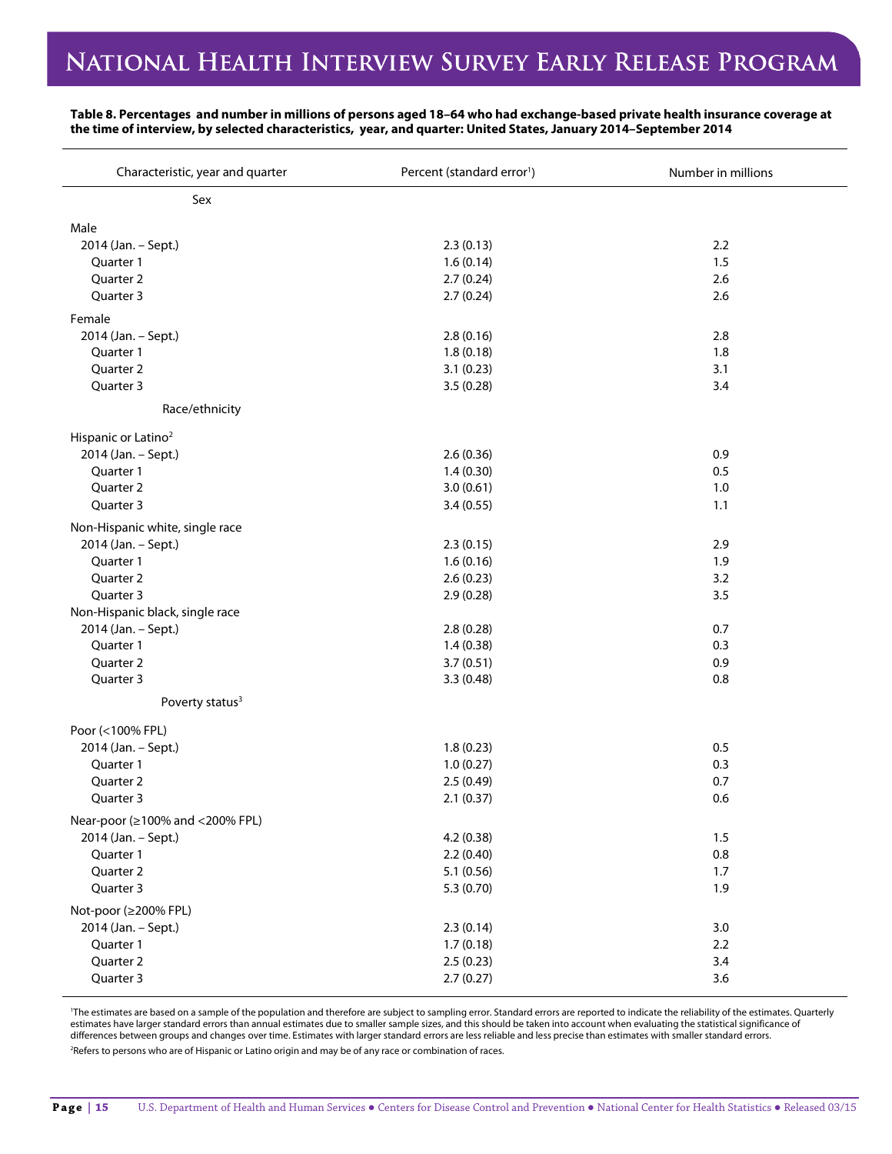# NATIONAL HEALTH INTERVIEW SURVEY EARLY RELEASE PROGRAM

### **Table 8. Percentages and number in millions of persons aged 18–64 who had exchange-based private health insurance coverage at the time of interview, by selected characteristics, year, and quarter: United States, January 2014–September 2014**

| Characteristic, year and quarter | Percent (standard error <sup>1</sup> ) | Number in millions |
|----------------------------------|----------------------------------------|--------------------|
| Sex                              |                                        |                    |
| Male                             |                                        |                    |
| 2014 (Jan. - Sept.)              | 2.3(0.13)                              | 2.2                |
| Quarter 1                        | 1.6(0.14)                              | 1.5                |
| Quarter 2                        | 2.7(0.24)                              | 2.6                |
| Quarter 3                        | 2.7(0.24)                              | 2.6                |
| Female                           |                                        |                    |
| 2014 (Jan. - Sept.)              | 2.8(0.16)                              | 2.8                |
| Quarter 1                        | 1.8(0.18)                              | 1.8                |
| Quarter 2                        | 3.1(0.23)                              | 3.1                |
| Quarter 3                        | 3.5(0.28)                              | 3.4                |
| Race/ethnicity                   |                                        |                    |
| Hispanic or Latino <sup>2</sup>  |                                        |                    |
| 2014 (Jan. - Sept.)              | 2.6(0.36)                              | 0.9                |
| Quarter 1                        | 1.4(0.30)                              | 0.5                |
| Quarter 2                        | 3.0(0.61)                              | 1.0                |
| Quarter 3                        | 3.4(0.55)                              | 1.1                |
| Non-Hispanic white, single race  |                                        |                    |
| 2014 (Jan. - Sept.)              | 2.3(0.15)                              | 2.9                |
| Quarter 1                        | 1.6(0.16)                              | 1.9                |
| Quarter 2                        | 2.6(0.23)                              | 3.2                |
| Quarter 3                        | 2.9(0.28)                              | 3.5                |
| Non-Hispanic black, single race  |                                        |                    |
| 2014 (Jan. - Sept.)              | 2.8(0.28)                              | 0.7                |
| Quarter 1                        | 1.4(0.38)                              | 0.3                |
| Quarter 2                        | 3.7(0.51)                              | 0.9                |
| Quarter 3                        | 3.3(0.48)                              | 0.8                |
| Poverty status <sup>3</sup>      |                                        |                    |
| Poor (<100% FPL)                 |                                        |                    |
| 2014 (Jan. - Sept.)              | 1.8(0.23)                              | 0.5                |
| Quarter 1                        | 1.0(0.27)                              | 0.3                |
| Quarter 2                        | 2.5(0.49)                              | 0.7                |
| Quarter 3                        | 2.1(0.37)                              | 0.6                |
| Near-poor (≥100% and <200% FPL)  |                                        |                    |
| 2014 (Jan. - Sept.)              | 4.2(0.38)                              | 1.5                |
| Quarter 1                        | 2.2(0.40)                              | $0.8\,$            |
| Quarter 2                        | 5.1(0.56)                              | 1.7                |
| Quarter 3                        | 5.3 (0.70)                             | 1.9                |
| Not-poor (≥200% FPL)             |                                        |                    |
| 2014 (Jan. - Sept.)              | 2.3(0.14)                              | $3.0\,$            |
| Quarter 1                        | 1.7(0.18)                              | 2.2                |
| Quarter 2                        | 2.5(0.23)                              | 3.4                |
| Quarter 3                        | 2.7(0.27)                              | 3.6                |

1 The estimates are based on a sample of the population and therefore are subject to sampling error. Standard errors are reported to indicate the reliability of the estimates. Quarterly estimates have larger standard errors than annual estimates due to smaller sample sizes, and this should be taken into account when evaluating the statistical significance of differences between groups and changes over time. Estimates with larger standard errors are less reliable and less precise than estimates with smaller standard errors.

<sup>2</sup>Refers to persons who are of Hispanic or Latino origin and may be of any race or combination of races.